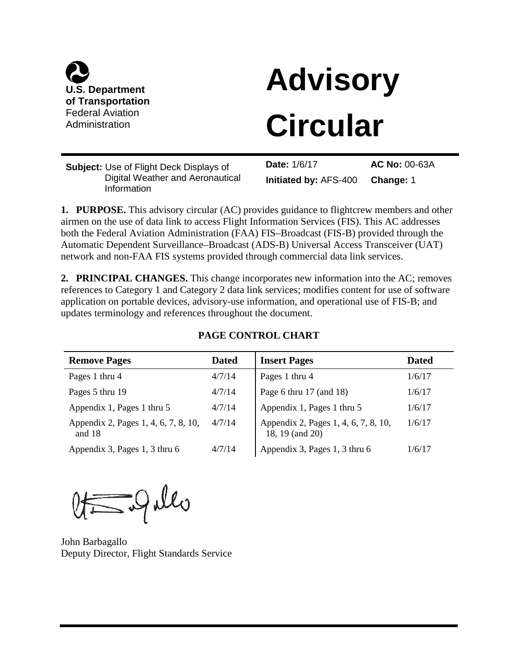

# **Advisory**

### **Circular**

**Subject:** Use of Flight Deck Displays of Digital Weather and Aeronautical Information

**Date:** 1/6/17 **AC No:** 00-63A **Initiated by:** AFS-400 **Change:** 1

**1. PURPOSE.** This advisory circular (AC) provides guidance to flightcrew members and other airmen on the use of data link to access Flight Information Services (FIS). This AC addresses both the Federal Aviation Administration (FAA) FIS–Broadcast (FIS-B) provided through the Automatic Dependent Surveillance–Broadcast (ADS-B) Universal Access Transceiver (UAT) network and non-FAA FIS systems provided through commercial data link services.

**2. PRINCIPAL CHANGES.** This change incorporates new information into the AC; removes references to Category 1 and Category 2 data link services; modifies content for use of software application on portable devices, advisory-use information, and operational use of FIS-B; and updates terminology and references throughout the document.

#### **PAGE CONTROL CHART**

| <b>Remove Pages</b>                            | <b>Dated</b> | <b>Insert Pages</b>                                     | <b>Dated</b> |
|------------------------------------------------|--------------|---------------------------------------------------------|--------------|
| Pages 1 thru 4                                 | 4/7/14       | Pages 1 thru 4                                          | 1/6/17       |
| Pages 5 thru 19                                | 4/7/14       | Page 6 thru $17$ (and $18$ )                            | 1/6/17       |
| Appendix 1, Pages 1 thru 5                     | 4/7/14       | Appendix 1, Pages 1 thru 5                              | 1/6/17       |
| Appendix 2, Pages 1, 4, 6, 7, 8, 10,<br>and 18 | 4/7/14       | Appendix 2, Pages 1, 4, 6, 7, 8, 10,<br>18, 19 (and 20) | 1/6/17       |
| Appendix 3, Pages 1, 3 thru 6                  | 4/7/14       | Appendix 3, Pages 1, 3 thru 6                           | 1/6/17       |

 $Qt = Q$ allo

John Barbagallo Deputy Director, Flight Standards Service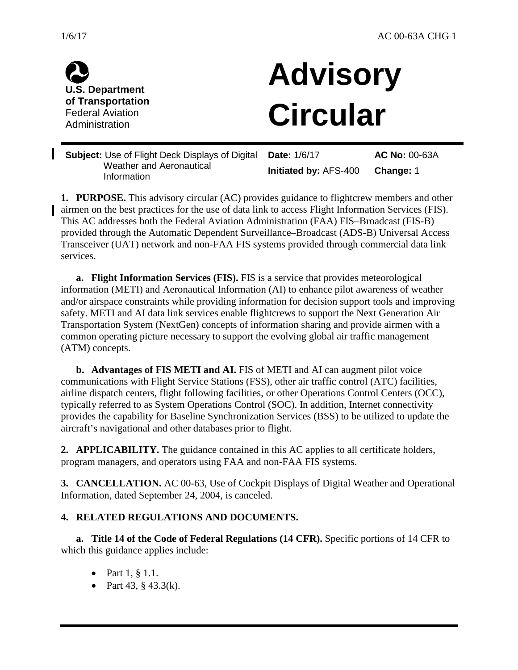

I

**U.S. Department of Transportation** Federal Aviation Administration

## **Advisory Circular**

**Subject:** Use of Flight Deck Displays of Digital Weather and Aeronautical Information **Date:** 1/6/17 **Initiated by:** AFS-400 **AC No:** 00-63A **Change:** 1

**1. PURPOSE.** This advisory circular (AC) provides guidance to flightcrew members and other airmen on the best practices for the use of data link to access Flight Information Services (FIS). This AC addresses both the Federal Aviation Administration (FAA) FIS–Broadcast (FIS-B) provided through the Automatic Dependent Surveillance–Broadcast (ADS-B) Universal Access Transceiver (UAT) network and non-FAA FIS systems provided through commercial data link services.

**a. Flight Information Services (FIS).** FIS is a service that provides meteorological information (METI) and Aeronautical Information (AI) to enhance pilot awareness of weather and/or airspace constraints while providing information for decision support tools and improving safety. METI and AI data link services enable flightcrews to support the Next Generation Air Transportation System (NextGen) concepts of information sharing and provide airmen with a common operating picture necessary to support the evolving global air traffic management (ATM) concepts.

**b. Advantages of FIS METI and AI.** FIS of METI and AI can augment pilot voice communications with Flight Service Stations (FSS), other air traffic control (ATC) facilities, airline dispatch centers, flight following facilities, or other Operations Control Centers (OCC), typically referred to as System Operations Control (SOC). In addition, Internet connectivity provides the capability for Baseline Synchronization Services (BSS) to be utilized to update the aircraft's navigational and other databases prior to flight.

**2. APPLICABILITY.** The guidance contained in this AC applies to all certificate holders, program managers, and operators using FAA and non-FAA FIS systems.

**3. CANCELLATION.** AC 00-63, Use of Cockpit Displays of Digital Weather and Operational Information, dated September 24, 2004, is canceled.

#### **4. RELATED REGULATIONS AND DOCUMENTS.**

**a. Title 14 of the Code of Federal Regulations (14 CFR).** Specific portions of 14 CFR to which this guidance applies include:

- Part  $1, § 1.1$ .
- Part 43,  $\S$  43.3(k).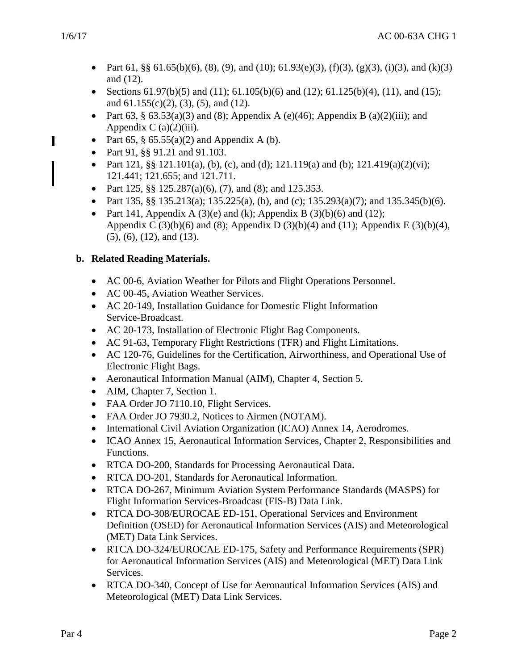- Part 61, §§ 61.65(b)(6), (8), (9), and (10); 61.93(e)(3), (f)(3), (g)(3), (i)(3), and (k)(3) and (12).
- Sections  $61.97(b)(5)$  and  $(11)$ ;  $61.105(b)(6)$  and  $(12)$ ;  $61.125(b)(4)$ ,  $(11)$ , and  $(15)$ ; and 61.155(c)(2), (3), (5), and (12).
- Part 63, § 63.53(a)(3) and (8); Appendix A (e)(46); Appendix B (a)(2)(iii); and Appendix C  $(a)(2)(iii)$ .
- Part 65,  $\S$  65.55(a)(2) and Appendix A (b).
- Part 91, §§ 91.21 and 91.103.
- Part 121, §§ 121.101(a), (b), (c), and (d); 121.119(a) and (b); 121.419(a)(2)(vi); 121.441; 121.655; and 121.711.
- Part 125,  $\S$  $\S$  125.287(a)(6), (7), and (8); and 125.353.
- Part 135, §§ 135.213(a); 135.225(a), (b), and (c); 135.293(a)(7); and 135.345(b)(6).
- Part 141, Appendix A (3)(e) and (k); Appendix B (3)(b)(6) and (12); Appendix C (3)(b)(6) and (8); Appendix D (3)(b)(4) and (11); Appendix E (3)(b)(4), (5), (6), (12), and (13).

#### **b. Related Reading Materials.**

- AC 00-6, Aviation Weather for Pilots and Flight Operations Personnel.
- AC 00-45, Aviation Weather Services.
- AC 20-149, Installation Guidance for Domestic Flight Information Service-Broadcast.
- AC 20-173, Installation of Electronic Flight Bag Components.
- AC 91-63, Temporary Flight Restrictions (TFR) and Flight Limitations.
- AC 120-76, Guidelines for the Certification, Airworthiness, and Operational Use of Electronic Flight Bags.
- Aeronautical Information Manual (AIM), Chapter 4, Section 5.
- AIM, Chapter 7, Section 1.
- FAA Order JO 7110.10, Flight Services.
- FAA Order JO 7930.2, Notices to Airmen (NOTAM).
- International Civil Aviation Organization (ICAO) Annex 14, Aerodromes.
- ICAO Annex 15, Aeronautical Information Services, Chapter 2, Responsibilities and Functions.
- RTCA DO-200, Standards for Processing Aeronautical Data.
- RTCA DO-201, Standards for Aeronautical Information.
- RTCA DO-267, Minimum Aviation System Performance Standards (MASPS) for Flight Information Services-Broadcast (FIS-B) Data Link.
- RTCA DO-308/EUROCAE ED-151, Operational Services and Environment Definition (OSED) for Aeronautical Information Services (AIS) and Meteorological (MET) Data Link Services.
- RTCA DO-324/EUROCAE ED-175, Safety and Performance Requirements (SPR) for Aeronautical Information Services (AIS) and Meteorological (MET) Data Link Services.
- RTCA DO-340, Concept of Use for Aeronautical Information Services (AIS) and Meteorological (MET) Data Link Services.

I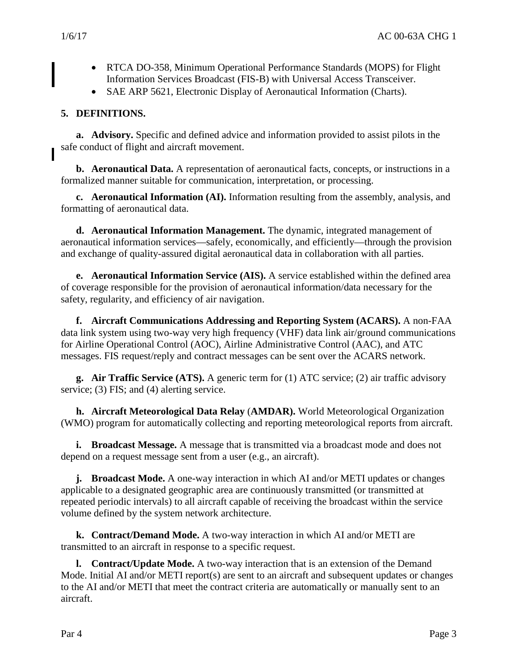- RTCA DO-358, Minimum Operational Performance Standards (MOPS) for Flight Information Services Broadcast (FIS-B) with Universal Access Transceiver.
- SAE ARP 5621, Electronic Display of Aeronautical Information (Charts).

#### **5. DEFINITIONS.**

**a. Advisory.** Specific and defined advice and information provided to assist pilots in the safe conduct of flight and aircraft movement.

**b. Aeronautical Data.** A representation of aeronautical facts, concepts, or instructions in a formalized manner suitable for communication, interpretation, or processing.

**c. Aeronautical Information (AI).** Information resulting from the assembly, analysis, and formatting of aeronautical data.

**d. Aeronautical Information Management.** The dynamic, integrated management of aeronautical information services—safely, economically, and efficiently—through the provision and exchange of quality-assured digital aeronautical data in collaboration with all parties.

**e. Aeronautical Information Service (AIS).** A service established within the defined area of coverage responsible for the provision of aeronautical information/data necessary for the safety, regularity, and efficiency of air navigation.

**f. Aircraft Communications Addressing and Reporting System (ACARS).** A non-FAA data link system using two-way very high frequency (VHF) data link air/ground communications for Airline Operational Control (AOC), Airline Administrative Control (AAC), and ATC messages. FIS request/reply and contract messages can be sent over the ACARS network.

**g. Air Traffic Service (ATS).** A generic term for (1) ATC service; (2) air traffic advisory service; (3) FIS; and (4) alerting service.

**h. Aircraft Meteorological Data Relay** (**AMDAR).** World Meteorological Organization (WMO) program for automatically collecting and reporting meteorological reports from aircraft.

**i. Broadcast Message.** A message that is transmitted via a broadcast mode and does not depend on a request message sent from a user (e.g., an aircraft).

**j. Broadcast Mode.** A one-way interaction in which AI and/or METI updates or changes applicable to a designated geographic area are continuously transmitted (or transmitted at repeated periodic intervals) to all aircraft capable of receiving the broadcast within the service volume defined by the system network architecture.

**k. Contract/Demand Mode.** A two-way interaction in which AI and/or METI are transmitted to an aircraft in response to a specific request.

**l. Contract/Update Mode.** A two-way interaction that is an extension of the Demand Mode. Initial AI and/or METI report(s) are sent to an aircraft and subsequent updates or changes to the AI and/or METI that meet the contract criteria are automatically or manually sent to an aircraft.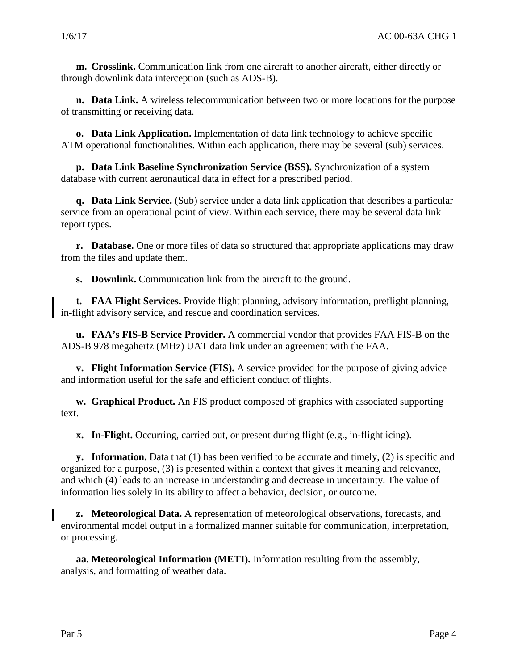**m. Crosslink.** Communication link from one aircraft to another aircraft, either directly or through downlink data interception (such as ADS-B).

**n. Data Link.** A wireless telecommunication between two or more locations for the purpose of transmitting or receiving data.

**o. Data Link Application.** Implementation of data link technology to achieve specific ATM operational functionalities. Within each application, there may be several (sub) services.

**p. Data Link Baseline Synchronization Service (BSS).** Synchronization of a system database with current aeronautical data in effect for a prescribed period.

**q. Data Link Service.** (Sub) service under a data link application that describes a particular service from an operational point of view. Within each service, there may be several data link report types.

**r. Database.** One or more files of data so structured that appropriate applications may draw from the files and update them.

**s. Downlink.** Communication link from the aircraft to the ground.

**t. FAA Flight Services.** Provide flight planning, advisory information, preflight planning, in-flight advisory service, and rescue and coordination services.

**u. FAA's FIS-B Service Provider.** A commercial vendor that provides FAA FIS-B on the ADS-B 978 megahertz (MHz) UAT data link under an agreement with the FAA.

**v. Flight Information Service (FIS).** A service provided for the purpose of giving advice and information useful for the safe and efficient conduct of flights.

**w. Graphical Product.** An FIS product composed of graphics with associated supporting text.

**x. In-Flight.** Occurring, carried out, or present during flight (e.g., in-flight icing).

**y. Information.** Data that (1) has been verified to be accurate and timely, (2) is specific and organized for a purpose, (3) is presented within a context that gives it meaning and relevance, and which (4) leads to an increase in understanding and decrease in uncertainty. The value of information lies solely in its ability to affect a behavior, decision, or outcome.

**z. Meteorological Data.** A representation of meteorological observations, forecasts, and environmental model output in a formalized manner suitable for communication, interpretation, or processing.

**aa. Meteorological Information (METI).** Information resulting from the assembly, analysis, and formatting of weather data.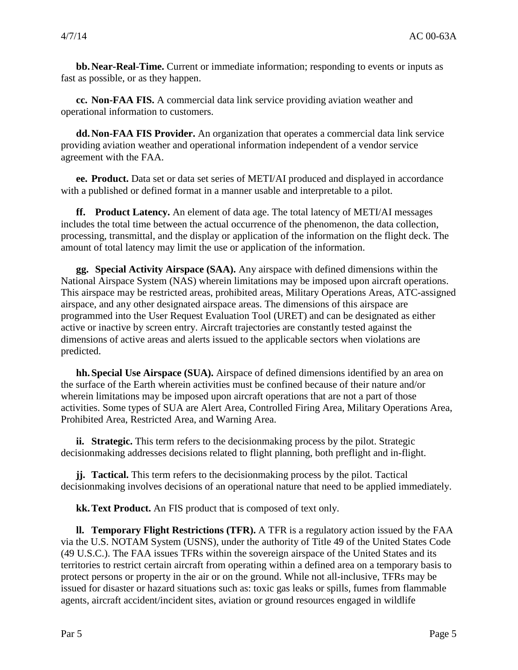**bb.Near-Real-Time.** Current or immediate information; responding to events or inputs as fast as possible, or as they happen.

**cc. Non-FAA FIS.** A commercial data link service providing aviation weather and operational information to customers.

**dd.Non-FAA FIS Provider.** An organization that operates a commercial data link service providing aviation weather and operational information independent of a vendor service agreement with the FAA.

**ee. Product.** Data set or data set series of METI/AI produced and displayed in accordance with a published or defined format in a manner usable and interpretable to a pilot.

**ff. Product Latency.** An element of data age. The total latency of METI/AI messages includes the total time between the actual occurrence of the phenomenon, the data collection, processing, transmittal, and the display or application of the information on the flight deck. The amount of total latency may limit the use or application of the information.

**gg. Special Activity Airspace (SAA).** Any airspace with defined dimensions within the National Airspace System (NAS) wherein limitations may be imposed upon aircraft operations. This airspace may be restricted areas, prohibited areas, Military Operations Areas, ATC-assigned airspace, and any other designated airspace areas. The dimensions of this airspace are programmed into the User Request Evaluation Tool (URET) and can be designated as either active or inactive by screen entry. Aircraft trajectories are constantly tested against the dimensions of active areas and alerts issued to the applicable sectors when violations are predicted.

**hh.Special Use Airspace (SUA).** Airspace of defined dimensions identified by an area on the surface of the Earth wherein activities must be confined because of their nature and/or wherein limitations may be imposed upon aircraft operations that are not a part of those activities. Some types of SUA are Alert Area, Controlled Firing Area, Military Operations Area, Prohibited Area, Restricted Area, and Warning Area.

**ii. Strategic.** This term refers to the decisionmaking process by the pilot. Strategic decisionmaking addresses decisions related to flight planning, both preflight and in-flight.

**jj. Tactical.** This term refers to the decisionmaking process by the pilot. Tactical decisionmaking involves decisions of an operational nature that need to be applied immediately.

**kk.Text Product.** An FIS product that is composed of text only.

**ll. Temporary Flight Restrictions (TFR).** A TFR is a regulatory action issued by the FAA via the U.S. NOTAM System (USNS), under the authority of Title 49 of the United States Code (49 U.S.C.). The FAA issues TFRs within the sovereign airspace of the United States and its territories to restrict certain aircraft from operating within a defined area on a temporary basis to protect persons or property in the air or on the ground. While not all-inclusive, TFRs may be issued for disaster or hazard situations such as: toxic gas leaks or spills, fumes from flammable agents, aircraft accident/incident sites, aviation or ground resources engaged in wildlife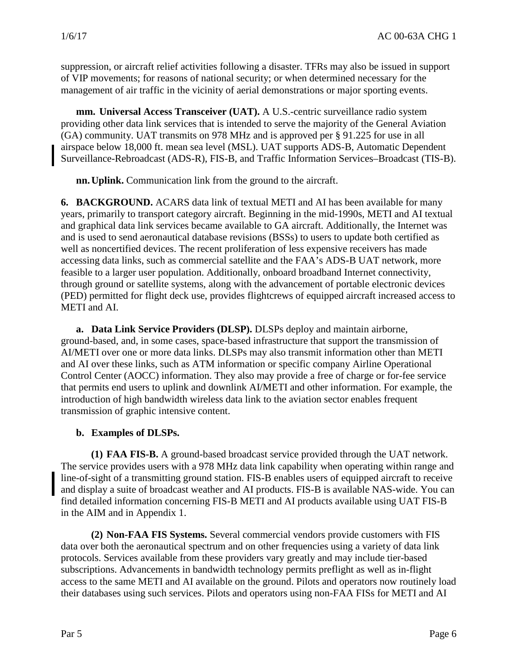suppression, or aircraft relief activities following a disaster. TFRs may also be issued in support of VIP movements; for reasons of national security; or when determined necessary for the management of air traffic in the vicinity of aerial demonstrations or major sporting events.

**mm. Universal Access Transceiver (UAT).** A U.S.-centric surveillance radio system providing other data link services that is intended to serve the majority of the General Aviation (GA) community. UAT transmits on 978 MHz and is approved per § 91.225 for use in all airspace below 18,000 ft. mean sea level (MSL). UAT supports ADS-B, Automatic Dependent Surveillance-Rebroadcast (ADS-R), FIS-B, and [Traffic Information Services–Broadcast](http://en.wikipedia.org/wiki/Traffic_Information_Service_-_Broadcast) (TIS-B).

**nn.Uplink.** Communication link from the ground to the aircraft.

**6. BACKGROUND.** ACARS data link of textual METI and AI has been available for many years, primarily to transport category aircraft. Beginning in the mid-1990s, METI and AI textual and graphical data link services became available to GA aircraft. Additionally, the Internet was and is used to send aeronautical database revisions (BSSs) to users to update both certified as well as noncertified devices. The recent proliferation of less expensive receivers has made accessing data links, such as commercial satellite and the FAA's ADS-B UAT network, more feasible to a larger user population. Additionally, onboard broadband Internet connectivity, through ground or satellite systems, along with the advancement of portable electronic devices (PED) permitted for flight deck use, provides flightcrews of equipped aircraft increased access to METI and AI.

**a. Data Link Service Providers (DLSP).** DLSPs deploy and maintain airborne, ground-based, and, in some cases, space-based infrastructure that support the transmission of AI/METI over one or more data links. DLSPs may also transmit information other than METI and AI over these links, such as ATM information or specific company Airline Operational Control Center (AOCC) information. They also may provide a free of charge or for-fee service that permits end users to uplink and downlink AI/METI and other information. For example, the introduction of high bandwidth wireless data link to the aviation sector enables frequent transmission of graphic intensive content.

#### **b. Examples of DLSPs.**

**(1) FAA FIS-B.** A ground-based broadcast service provided through the UAT network. The service provides users with a 978 MHz data link capability when operating within range and line-of-sight of a transmitting ground station. FIS-B enables users of equipped aircraft to receive and display a suite of broadcast weather and AI products. FIS-B is available NAS-wide. You can find detailed information concerning FIS-B METI and AI products available using UAT FIS-B in the AIM and in Appendix 1.

**(2) Non-FAA FIS Systems.** Several commercial vendors provide customers with FIS data over both the aeronautical spectrum and on other frequencies using a variety of data link protocols. Services available from these providers vary greatly and may include tier-based subscriptions. Advancements in bandwidth technology permits preflight as well as in-flight access to the same METI and AI available on the ground. Pilots and operators now routinely load their databases using such services. Pilots and operators using non-FAA FISs for METI and AI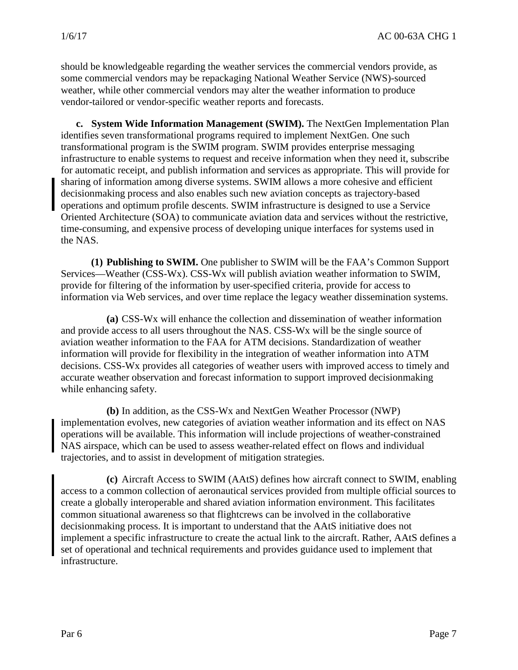should be knowledgeable regarding the weather services the commercial vendors provide, as some commercial vendors may be repackaging National Weather Service (NWS)-sourced weather, while other commercial vendors may alter the weather information to produce vendor-tailored or vendor-specific weather reports and forecasts.

**c. System Wide Information Management (SWIM).** The NextGen Implementation Plan identifies seven transformational programs required to implement NextGen. One such transformational program is the SWIM program. SWIM provides enterprise messaging infrastructure to enable systems to request and receive information when they need it, subscribe for automatic receipt, and publish information and services as appropriate. This will provide for sharing of information among diverse systems. SWIM allows a more cohesive and efficient decisionmaking process and also enables such new aviation concepts as trajectory-based operations and optimum profile descents. SWIM infrastructure is designed to use a Service Oriented Architecture (SOA) to communicate aviation data and services without the restrictive, time-consuming, and expensive process of developing unique interfaces for systems used in the NAS.

**(1) Publishing to SWIM.** One publisher to SWIM will be the FAA's Common Support Services—Weather (CSS-Wx). CSS-Wx will publish aviation weather information to SWIM, provide for filtering of the information by user-specified criteria, provide for access to information via Web services, and over time replace the legacy weather dissemination systems.

**(a)** CSS-Wx will enhance the collection and dissemination of weather information and provide access to all users throughout the NAS. CSS-Wx will be the single source of aviation weather information to the FAA for ATM decisions. Standardization of weather information will provide for flexibility in the integration of weather information into ATM decisions. CSS-Wx provides all categories of weather users with improved access to timely and accurate weather observation and forecast information to support improved decisionmaking while enhancing safety.

**(b)** In addition, as the CSS-Wx and NextGen Weather Processor (NWP) implementation evolves, new categories of aviation weather information and its effect on NAS operations will be available. This information will include projections of weather-constrained NAS airspace, which can be used to assess weather-related effect on flows and individual trajectories, and to assist in development of mitigation strategies.

**(c)** Aircraft Access to SWIM (AAtS) defines how aircraft connect to SWIM, enabling access to a common collection of aeronautical services provided from multiple official sources to create a globally interoperable and shared aviation information environment. This facilitates common situational awareness so that flightcrews can be involved in the collaborative decisionmaking process. It is important to understand that the AAtS initiative does not implement a specific infrastructure to create the actual link to the aircraft. Rather, AAtS defines a set of operational and technical requirements and provides guidance used to implement that infrastructure.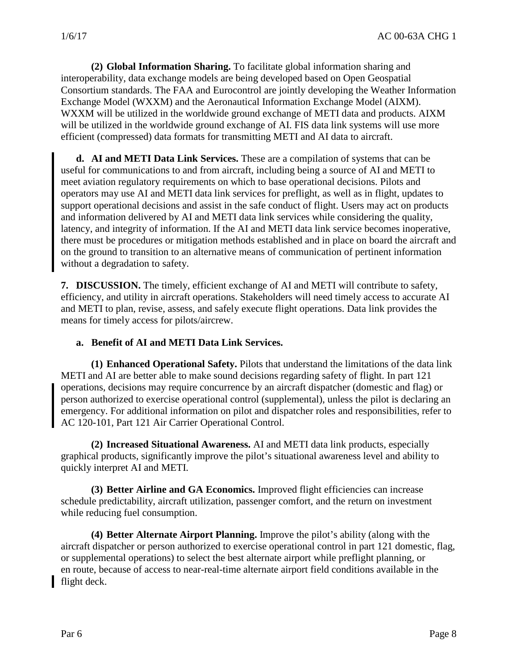**(2) Global Information Sharing.** To facilitate global information sharing and interoperability, data exchange models are being developed based on Open Geospatial Consortium standards. The FAA and Eurocontrol are jointly developing the Weather Information Exchange Model (WXXM) and the Aeronautical Information Exchange Model (AIXM). WXXM will be utilized in the worldwide ground exchange of METI data and products. AIXM will be utilized in the worldwide ground exchange of AI. FIS data link systems will use more efficient (compressed) data formats for transmitting METI and AI data to aircraft.

**d. AI and METI Data Link Services.** These are a compilation of systems that can be useful for communications to and from aircraft, including being a source of AI and METI to meet aviation regulatory requirements on which to base operational decisions. Pilots and operators may use AI and METI data link services for preflight, as well as in flight, updates to support operational decisions and assist in the safe conduct of flight. Users may act on products and information delivered by AI and METI data link services while considering the quality, latency, and integrity of information. If the AI and METI data link service becomes inoperative, there must be procedures or mitigation methods established and in place on board the aircraft and on the ground to transition to an alternative means of communication of pertinent information without a degradation to safety.

**7. DISCUSSION.** The timely, efficient exchange of AI and METI will contribute to safety, efficiency, and utility in aircraft operations. Stakeholders will need timely access to accurate AI and METI to plan, revise, assess, and safely execute flight operations. Data link provides the means for timely access for pilots/aircrew.

#### **a. Benefit of AI and METI Data Link Services.**

**(1) Enhanced Operational Safety.** Pilots that understand the limitations of the data link METI and AI are better able to make sound decisions regarding safety of flight. In part 121 operations, decisions may require concurrence by an aircraft dispatcher (domestic and flag) or person authorized to exercise operational control (supplemental), unless the pilot is declaring an emergency. For additional information on pilot and dispatcher roles and responsibilities, refer to AC 120-101, Part 121 Air Carrier Operational Control.

**(2) Increased Situational Awareness.** AI and METI data link products, especially graphical products, significantly improve the pilot's situational awareness level and ability to quickly interpret AI and METI.

**(3) Better Airline and GA Economics.** Improved flight efficiencies can increase schedule predictability, aircraft utilization, passenger comfort, and the return on investment while reducing fuel consumption.

**(4) Better Alternate Airport Planning.** Improve the pilot's ability (along with the aircraft dispatcher or person authorized to exercise operational control in part 121 domestic, flag, or supplemental operations) to select the best alternate airport while preflight planning, or en route, because of access to near-real-time alternate airport field conditions available in the flight deck.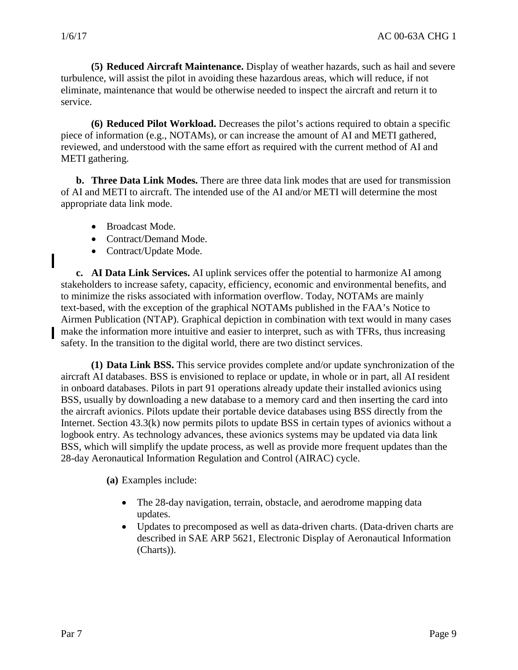I

**(5) Reduced Aircraft Maintenance.** Display of weather hazards, such as hail and severe turbulence, will assist the pilot in avoiding these hazardous areas, which will reduce, if not eliminate, maintenance that would be otherwise needed to inspect the aircraft and return it to service.

**(6) Reduced Pilot Workload.** Decreases the pilot's actions required to obtain a specific piece of information (e.g., NOTAMs), or can increase the amount of AI and METI gathered, reviewed, and understood with the same effort as required with the current method of AI and METI gathering.

**b. Three Data Link Modes.** There are three data link modes that are used for transmission of AI and METI to aircraft. The intended use of the AI and/or METI will determine the most appropriate data link mode.

- Broadcast Mode.
- Contract/Demand Mode.
- Contract/Update Mode.

**c. AI Data Link Services.** AI uplink services offer the potential to harmonize AI among stakeholders to increase safety, capacity, efficiency, economic and environmental benefits, and to minimize the risks associated with information overflow. Today, NOTAMs are mainly text-based, with the exception of the graphical NOTAMs published in the FAA's Notice to Airmen Publication (NTAP). Graphical depiction in combination with text would in many cases make the information more intuitive and easier to interpret, such as with TFRs, thus increasing safety. In the transition to the digital world, there are two distinct services.

**(1) Data Link BSS.** This service provides complete and/or update synchronization of the aircraft AI databases. BSS is envisioned to replace or update, in whole or in part, all AI resident in onboard databases. Pilots in part 91 operations already update their installed avionics using BSS, usually by downloading a new database to a memory card and then inserting the card into the aircraft avionics. Pilots update their portable device databases using BSS directly from the Internet. Section 43.3(k) now permits pilots to update BSS in certain types of avionics without a logbook entry. As technology advances, these avionics systems may be updated via data link BSS, which will simplify the update process, as well as provide more frequent updates than the 28-day Aeronautical Information Regulation and Control (AIRAC) cycle.

**(a)** Examples include:

- The 28-day navigation, terrain, obstacle, and aerodrome mapping data updates.
- Updates to precomposed as well as data-driven charts. (Data-driven charts are described in SAE ARP 5621, Electronic Display of Aeronautical Information (Charts)).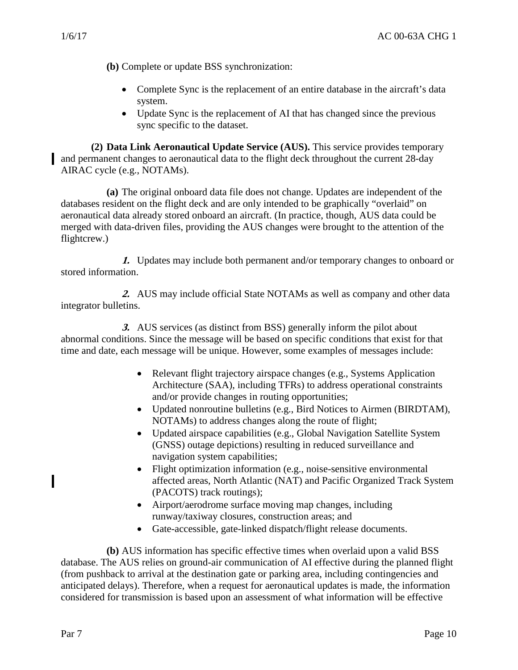**(b)** Complete or update BSS synchronization:

- Complete Sync is the replacement of an entire database in the aircraft's data system.
- Update Sync is the replacement of AI that has changed since the previous sync specific to the dataset.

**(2) Data Link Aeronautical Update Service (AUS).** This service provides temporary and permanent changes to aeronautical data to the flight deck throughout the current 28-day AIRAC cycle (e.g., NOTAMs).

**(a)** The original onboard data file does not change. Updates are independent of the databases resident on the flight deck and are only intended to be graphically "overlaid" on aeronautical data already stored onboard an aircraft. (In practice, though, AUS data could be merged with data-driven files, providing the AUS changes were brought to the attention of the flightcrew.)

**1.** Updates may include both permanent and/or temporary changes to onboard or stored information.

**2.** AUS may include official State NOTAMs as well as company and other data integrator bulletins.

**3.** AUS services (as distinct from BSS) generally inform the pilot about abnormal conditions. Since the message will be based on specific conditions that exist for that time and date, each message will be unique. However, some examples of messages include:

- Relevant flight trajectory airspace changes (e.g., Systems Application Architecture (SAA), including TFRs) to address operational constraints and/or provide changes in routing opportunities;
- Updated nonroutine bulletins (e.g., Bird Notices to Airmen (BIRDTAM), NOTAMs) to address changes along the route of flight;
- Updated airspace capabilities (e.g., Global Navigation Satellite System (GNSS) outage depictions) resulting in reduced surveillance and navigation system capabilities;
- Flight optimization information (e.g., noise-sensitive environmental affected areas, North Atlantic (NAT) and Pacific Organized Track System (PACOTS) track routings);
- Airport/aerodrome surface moving map changes, including runway/taxiway closures, construction areas; and
- Gate-accessible, gate-linked dispatch/flight release documents.

**(b)** AUS information has specific effective times when overlaid upon a valid BSS database. The AUS relies on ground-air communication of AI effective during the planned flight (from pushback to arrival at the destination gate or parking area, including contingencies and anticipated delays). Therefore, when a request for aeronautical updates is made, the information considered for transmission is based upon an assessment of what information will be effective

 $\blacksquare$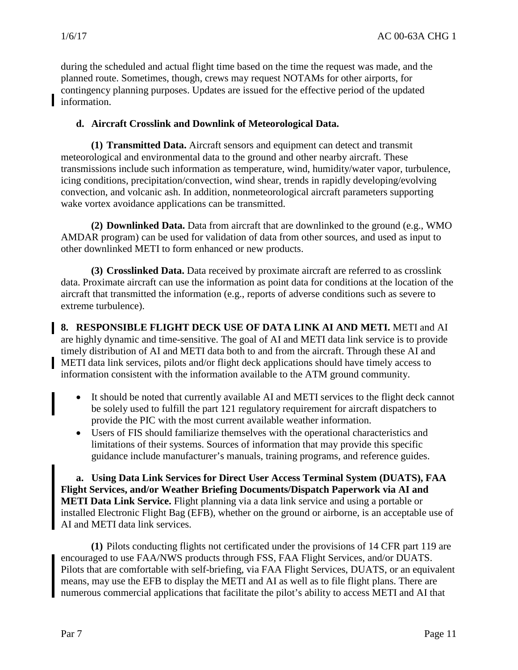during the scheduled and actual flight time based on the time the request was made, and the planned route. Sometimes, though, crews may request NOTAMs for other airports, for contingency planning purposes. Updates are issued for the effective period of the updated information.

#### **d. Aircraft Crosslink and Downlink of Meteorological Data.**

**(1) Transmitted Data.** Aircraft sensors and equipment can detect and transmit meteorological and environmental data to the ground and other nearby aircraft. These transmissions include such information as temperature, wind, humidity/water vapor, turbulence, icing conditions, precipitation/convection, wind shear, trends in rapidly developing/evolving convection, and volcanic ash. In addition, nonmeteorological aircraft parameters supporting wake vortex avoidance applications can be transmitted.

**(2) Downlinked Data.** Data from aircraft that are downlinked to the ground (e.g., WMO AMDAR program) can be used for validation of data from other sources, and used as input to other downlinked METI to form enhanced or new products.

**(3) Crosslinked Data.** Data received by proximate aircraft are referred to as crosslink data. Proximate aircraft can use the information as point data for conditions at the location of the aircraft that transmitted the information (e.g., reports of adverse conditions such as severe to extreme turbulence).

**8. RESPONSIBLE FLIGHT DECK USE OF DATA LINK AI AND METI.** METI and AI are highly dynamic and time-sensitive. The goal of AI and METI data link service is to provide timely distribution of AI and METI data both to and from the aircraft. Through these AI and METI data link services, pilots and/or flight deck applications should have timely access to information consistent with the information available to the ATM ground community.

- It should be noted that currently available AI and METI services to the flight deck cannot be solely used to fulfill the part 121 regulatory requirement for aircraft dispatchers to provide the PIC with the most current available weather information.
- Users of FIS should familiarize themselves with the operational characteristics and limitations of their systems. Sources of information that may provide this specific guidance include manufacturer's manuals, training programs, and reference guides.

**a. Using Data Link Services for Direct User Access Terminal System (DUATS), FAA Flight Services, and/or Weather Briefing Documents/Dispatch Paperwork via AI and METI Data Link Service.** Flight planning via a data link service and using a portable or installed Electronic Flight Bag (EFB), whether on the ground or airborne, is an acceptable use of AI and METI data link services.

**(1)** Pilots conducting flights not certificated under the provisions of 14 CFR part 119 are encouraged to use FAA/NWS products through FSS, FAA Flight Services, and/or DUATS. Pilots that are comfortable with self-briefing, via FAA Flight Services, DUATS, or an equivalent means, may use the EFB to display the METI and AI as well as to file flight plans. There are numerous commercial applications that facilitate the pilot's ability to access METI and AI that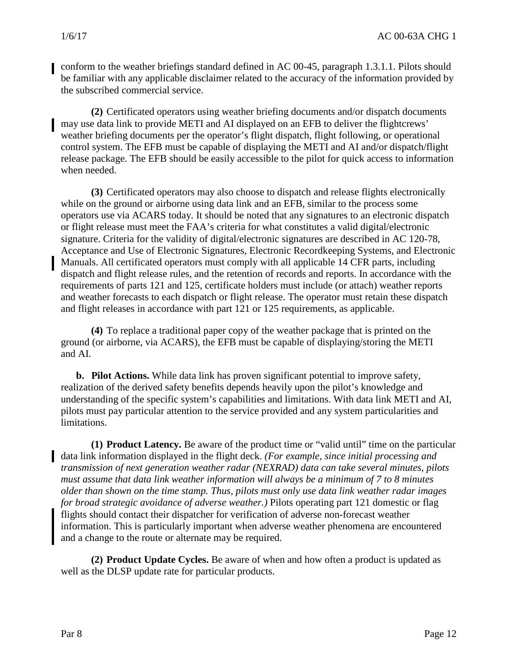conform to the weather briefings standard defined in AC 00-45, paragraph 1.3.1.1. Pilots should be familiar with any applicable disclaimer related to the accuracy of the information provided by the subscribed commercial service.

**(2)** Certificated operators using weather briefing documents and/or dispatch documents may use data link to provide METI and AI displayed on an EFB to deliver the flightcrews' weather briefing documents per the operator's flight dispatch, flight following, or operational control system. The EFB must be capable of displaying the METI and AI and/or dispatch/flight release package. The EFB should be easily accessible to the pilot for quick access to information when needed.

**(3)** Certificated operators may also choose to dispatch and release flights electronically while on the ground or airborne using data link and an EFB, similar to the process some operators use via ACARS today. It should be noted that any signatures to an electronic dispatch or flight release must meet the FAA's criteria for what constitutes a valid digital/electronic signature. Criteria for the validity of digital/electronic signatures are described in AC 120-78, Acceptance and Use of Electronic Signatures, Electronic Recordkeeping Systems, and Electronic Manuals. All certificated operators must comply with all applicable 14 CFR parts, including dispatch and flight release rules, and the retention of records and reports. In accordance with the requirements of parts 121 and 125, certificate holders must include (or attach) weather reports and weather forecasts to each dispatch or flight release. The operator must retain these dispatch and flight releases in accordance with part 121 or 125 requirements, as applicable.

**(4)** To replace a traditional paper copy of the weather package that is printed on the ground (or airborne, via ACARS), the EFB must be capable of displaying/storing the METI and AI.

**b. Pilot Actions.** While data link has proven significant potential to improve safety, realization of the derived safety benefits depends heavily upon the pilot's knowledge and understanding of the specific system's capabilities and limitations. With data link METI and AI, pilots must pay particular attention to the service provided and any system particularities and limitations.

**(1) Product Latency.** Be aware of the product time or "valid until" time on the particular data link information displayed in the flight deck. *(For example, since initial processing and transmission of next generation weather radar (NEXRAD) data can take several minutes, pilots must assume that data link weather information will always be a minimum of 7 to 8 minutes older than shown on the time stamp. Thus, pilots must only use data link weather radar images for broad strategic avoidance of adverse weather.)* Pilots operating part 121 domestic or flag flights should contact their dispatcher for verification of adverse non-forecast weather information. This is particularly important when adverse weather phenomena are encountered and a change to the route or alternate may be required.

**(2) Product Update Cycles.** Be aware of when and how often a product is updated as well as the DLSP update rate for particular products.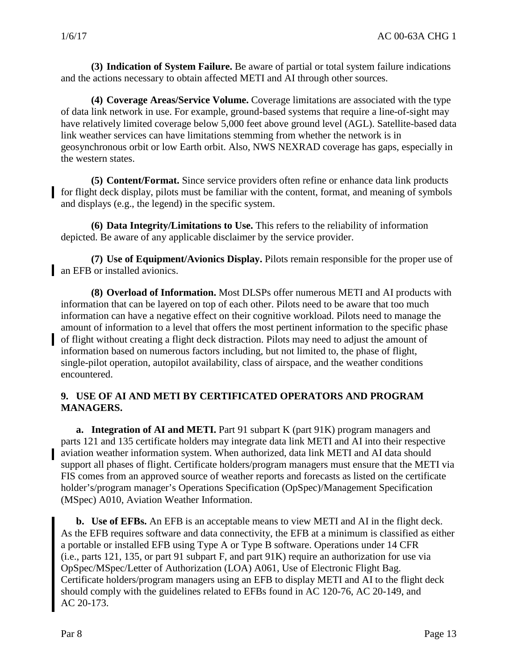**(3) Indication of System Failure.** Be aware of partial or total system failure indications and the actions necessary to obtain affected METI and AI through other sources.

**(4) Coverage Areas/Service Volume.** Coverage limitations are associated with the type of data link network in use. For example, ground-based systems that require a line-of-sight may have relatively limited coverage below 5,000 feet above ground level (AGL). Satellite-based data link weather services can have limitations stemming from whether the network is in geosynchronous orbit or low Earth orbit. Also, NWS NEXRAD coverage has gaps, especially in the western states.

**(5) Content/Format.** Since service providers often refine or enhance data link products for flight deck display, pilots must be familiar with the content, format, and meaning of symbols and displays (e.g., the legend) in the specific system.

**(6) Data Integrity/Limitations to Use.** This refers to the reliability of information depicted. Be aware of any applicable disclaimer by the service provider.

**(7) Use of Equipment/Avionics Display.** Pilots remain responsible for the proper use of an EFB or installed avionics.

**(8) Overload of Information.** Most DLSPs offer numerous METI and AI products with information that can be layered on top of each other. Pilots need to be aware that too much information can have a negative effect on their cognitive workload. Pilots need to manage the amount of information to a level that offers the most pertinent information to the specific phase of flight without creating a flight deck distraction. Pilots may need to adjust the amount of information based on numerous factors including, but not limited to, the phase of flight, single-pilot operation, autopilot availability, class of airspace, and the weather conditions encountered.

#### **9. USE OF AI AND METI BY CERTIFICATED OPERATORS AND PROGRAM MANAGERS.**

**a. Integration of AI and METI.** Part 91 subpart K (part 91K) program managers and parts 121 and 135 certificate holders may integrate data link METI and AI into their respective aviation weather information system. When authorized, data link METI and AI data should support all phases of flight. Certificate holders/program managers must ensure that the METI via FIS comes from an approved source of weather reports and forecasts as listed on the certificate holder's/program manager's Operations Specification (OpSpec)/Management Specification (MSpec) A010, Aviation Weather Information.

**b. Use of EFBs.** An EFB is an acceptable means to view METI and AI in the flight deck. As the EFB requires software and data connectivity, the EFB at a minimum is classified as either a portable or installed EFB using Type A or Type B software. Operations under 14 CFR (i.e., parts 121, 135, or part 91 subpart F, and part 91K) require an authorization for use via OpSpec/MSpec/Letter of Authorization (LOA) A061, Use of Electronic Flight Bag. Certificate holders/program managers using an EFB to display METI and AI to the flight deck should comply with the guidelines related to EFBs found in AC 120-76, AC 20-149, and AC 20-173.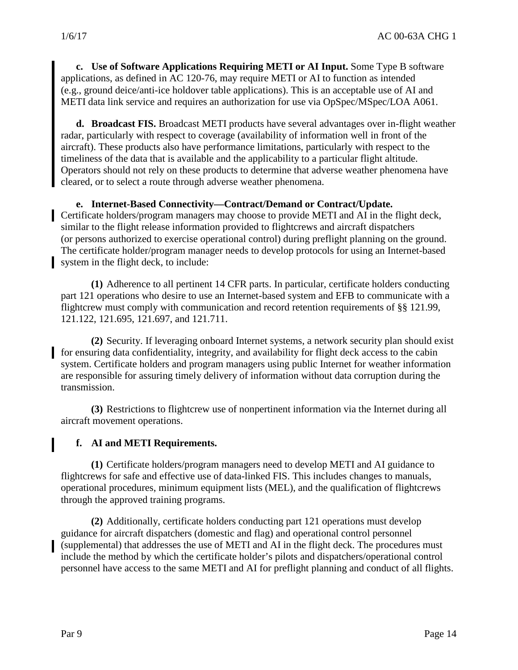**c. Use of Software Applications Requiring METI or AI Input.** Some Type B software applications, as defined in AC 120-76, may require METI or AI to function as intended (e.g., ground deice/anti-ice holdover table applications). This is an acceptable use of AI and METI data link service and requires an authorization for use via OpSpec/MSpec/LOA A061.

**d. Broadcast FIS.** Broadcast METI products have several advantages over in-flight weather radar, particularly with respect to coverage (availability of information well in front of the aircraft). These products also have performance limitations, particularly with respect to the timeliness of the data that is available and the applicability to a particular flight altitude. Operators should not rely on these products to determine that adverse weather phenomena have cleared, or to select a route through adverse weather phenomena.

#### **e. Internet-Based Connectivity—Contract/Demand or Contract/Update.**

Certificate holders/program managers may choose to provide METI and AI in the flight deck, similar to the flight release information provided to flightcrews and aircraft dispatchers (or persons authorized to exercise operational control) during preflight planning on the ground. The certificate holder/program manager needs to develop protocols for using an Internet-based system in the flight deck, to include:

**(1)** Adherence to all pertinent 14 CFR parts. In particular, certificate holders conducting part 121 operations who desire to use an Internet-based system and EFB to communicate with a flightcrew must comply with communication and record retention requirements of §§ 121.99, 121.122, 121.695, 121.697, and 121.711.

**(2)** Security. If leveraging onboard Internet systems, a network security plan should exist for ensuring data confidentiality, integrity, and availability for flight deck access to the cabin system. Certificate holders and program managers using public Internet for weather information are responsible for assuring timely delivery of information without data corruption during the transmission.

**(3)** Restrictions to flightcrew use of nonpertinent information via the Internet during all aircraft movement operations.

#### **f. AI and METI Requirements.**

**(1)** Certificate holders/program managers need to develop METI and AI guidance to flightcrews for safe and effective use of data-linked FIS. This includes changes to manuals, operational procedures, minimum equipment lists (MEL), and the qualification of flightcrews through the approved training programs.

**(2)** Additionally, certificate holders conducting part 121 operations must develop guidance for aircraft dispatchers (domestic and flag) and operational control personnel (supplemental) that addresses the use of METI and AI in the flight deck. The procedures must include the method by which the certificate holder's pilots and dispatchers/operational control personnel have access to the same METI and AI for preflight planning and conduct of all flights.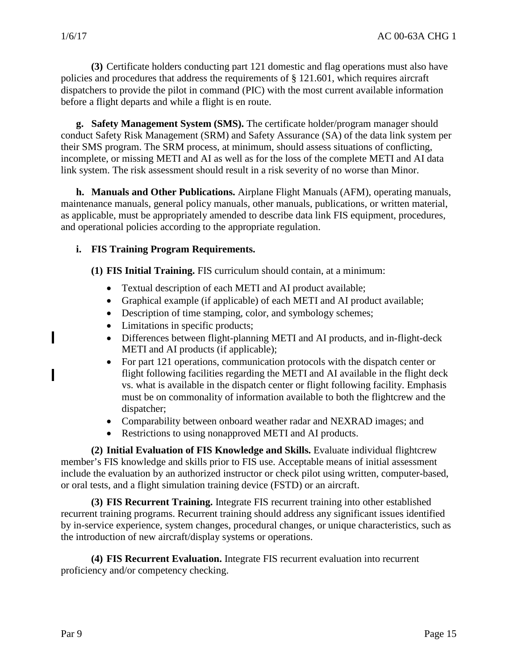**(3)** Certificate holders conducting part 121 domestic and flag operations must also have policies and procedures that address the requirements of § 121.601, which requires aircraft dispatchers to provide the pilot in command (PIC) with the most current available information before a flight departs and while a flight is en route.

**g. Safety Management System (SMS).** The certificate holder/program manager should conduct Safety Risk Management (SRM) and Safety Assurance (SA) of the data link system per their SMS program. The SRM process, at minimum, should assess situations of conflicting, incomplete, or missing METI and AI as well as for the loss of the complete METI and AI data link system. The risk assessment should result in a risk severity of no worse than Minor.

**h. Manuals and Other Publications.** Airplane Flight Manuals (AFM), operating manuals, maintenance manuals, general policy manuals, other manuals, publications, or written material, as applicable, must be appropriately amended to describe data link FIS equipment, procedures, and operational policies according to the appropriate regulation.

#### **i. FIS Training Program Requirements.**

**(1) FIS Initial Training.** FIS curriculum should contain, at a minimum:

- Textual description of each METI and AI product available;
- Graphical example (if applicable) of each METI and AI product available;
- Description of time stamping, color, and symbology schemes;
- Limitations in specific products;
- Differences between flight-planning METI and AI products, and in-flight-deck METI and AI products (if applicable);
- For part 121 operations, communication protocols with the dispatch center or flight following facilities regarding the METI and AI available in the flight deck vs. what is available in the dispatch center or flight following facility. Emphasis must be on commonality of information available to both the flightcrew and the dispatcher;
- Comparability between onboard weather radar and NEXRAD images; and
- Restrictions to using nonapproved METI and AI products.

**(2) Initial Evaluation of FIS Knowledge and Skills.** Evaluate individual flightcrew member's FIS knowledge and skills prior to FIS use. Acceptable means of initial assessment include the evaluation by an authorized instructor or check pilot using written, computer-based, or oral tests, and a flight simulation training device (FSTD) or an aircraft.

**(3) FIS Recurrent Training.** Integrate FIS recurrent training into other established recurrent training programs. Recurrent training should address any significant issues identified by in-service experience, system changes, procedural changes, or unique characteristics, such as the introduction of new aircraft/display systems or operations.

**(4) FIS Recurrent Evaluation.** Integrate FIS recurrent evaluation into recurrent proficiency and/or competency checking.

ı

Π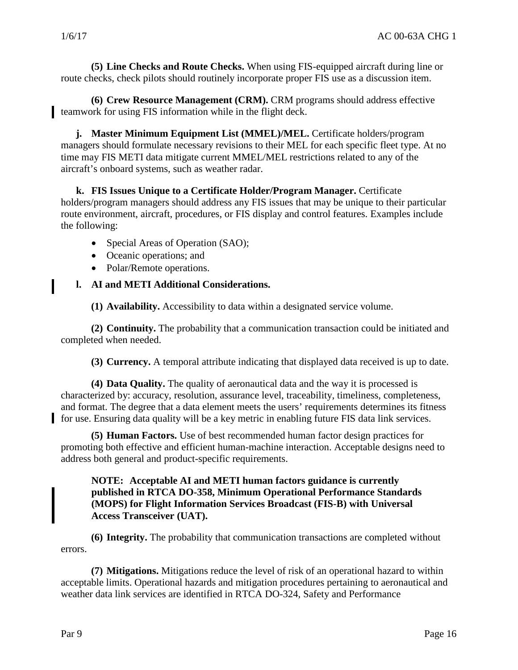**(5) Line Checks and Route Checks.** When using FIS-equipped aircraft during line or route checks, check pilots should routinely incorporate proper FIS use as a discussion item.

**(6) Crew Resource Management (CRM).** CRM programs should address effective teamwork for using FIS information while in the flight deck.

**j. Master Minimum Equipment List (MMEL)/MEL.** Certificate holders/program managers should formulate necessary revisions to their MEL for each specific fleet type. At no time may FIS METI data mitigate current MMEL/MEL restrictions related to any of the aircraft's onboard systems, such as weather radar.

**k. FIS Issues Unique to a Certificate Holder/Program Manager.** Certificate holders/program managers should address any FIS issues that may be unique to their particular route environment, aircraft, procedures, or FIS display and control features. Examples include the following:

- Special Areas of Operation (SAO);
- Oceanic operations; and
- Polar/Remote operations.

#### **l. AI and METI Additional Considerations.**

**(1) Availability.** Accessibility to data within a designated service volume.

**(2) Continuity.** The probability that a communication transaction could be initiated and completed when needed.

**(3) Currency.** A temporal attribute indicating that displayed data received is up to date.

**(4) Data Quality.** The quality of aeronautical data and the way it is processed is characterized by: accuracy, resolution, assurance level, traceability, timeliness, completeness, and format. The degree that a data element meets the users' requirements determines its fitness for use. Ensuring data quality will be a key metric in enabling future FIS data link services.

**(5) Human Factors.** Use of best recommended human factor design practices for promoting both effective and efficient human-machine interaction. Acceptable designs need to address both general and product-specific requirements.

#### **NOTE: Acceptable AI and METI human factors guidance is currently published in RTCA DO-358, Minimum Operational Performance Standards (MOPS) for Flight Information Services Broadcast (FIS-B) with Universal Access Transceiver (UAT).**

**(6) Integrity.** The probability that communication transactions are completed without errors.

**(7) Mitigations.** Mitigations reduce the level of risk of an operational hazard to within acceptable limits. Operational hazards and mitigation procedures pertaining to aeronautical and weather data link services are identified in RTCA DO-324, Safety and Performance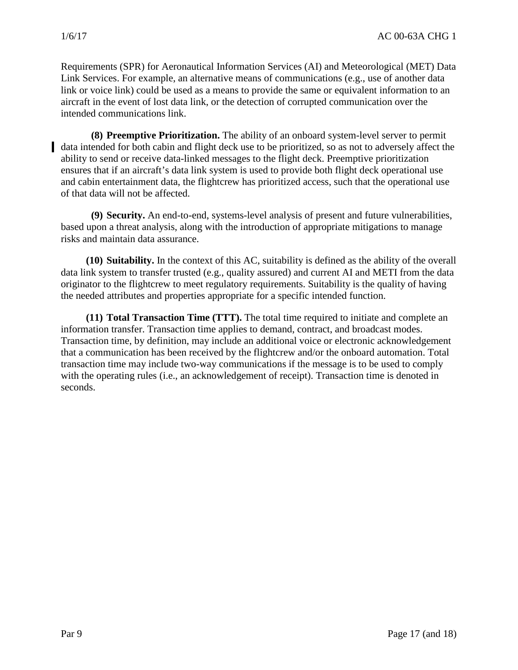Requirements (SPR) for Aeronautical Information Services (AI) and Meteorological (MET) Data Link Services. For example, an alternative means of communications (e.g., use of another data link or voice link) could be used as a means to provide the same or equivalent information to an aircraft in the event of lost data link, or the detection of corrupted communication over the intended communications link.

**(8) Preemptive Prioritization.** The ability of an onboard system-level server to permit data intended for both cabin and flight deck use to be prioritized, so as not to adversely affect the ability to send or receive data-linked messages to the flight deck. Preemptive prioritization ensures that if an aircraft's data link system is used to provide both flight deck operational use and cabin entertainment data, the flightcrew has prioritized access, such that the operational use of that data will not be affected.

**(9) Security.** An end-to-end, systems-level analysis of present and future vulnerabilities, based upon a threat analysis, along with the introduction of appropriate mitigations to manage risks and maintain data assurance.

**(10) Suitability.** In the context of this AC, suitability is defined as the ability of the overall data link system to transfer trusted (e.g., quality assured) and current AI and METI from the data originator to the flightcrew to meet regulatory requirements. Suitability is the quality of having the needed attributes and properties appropriate for a specific intended function.

**(11) Total Transaction Time (TTT).** The total time required to initiate and complete an information transfer. Transaction time applies to demand, contract, and broadcast modes. Transaction time, by definition, may include an additional voice or electronic acknowledgement that a communication has been received by the flightcrew and/or the onboard automation. Total transaction time may include two-way communications if the message is to be used to comply with the operating rules (i.e., an acknowledgement of receipt). Transaction time is denoted in seconds.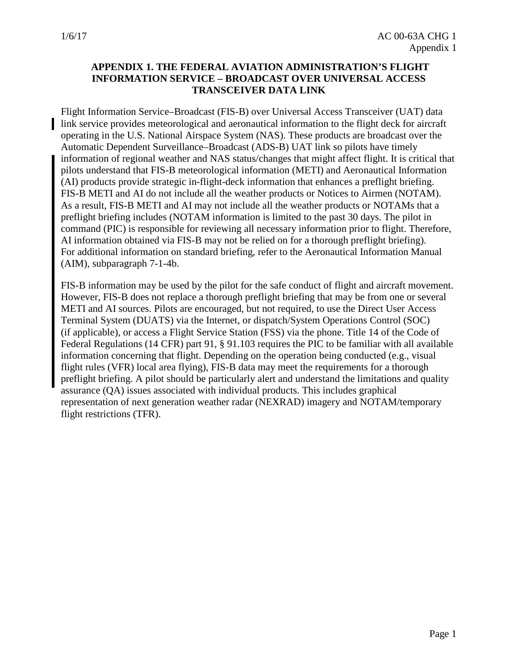#### **APPENDIX 1. THE FEDERAL AVIATION ADMINISTRATION'S FLIGHT INFORMATION SERVICE – BROADCAST OVER UNIVERSAL ACCESS TRANSCEIVER DATA LINK**

Flight Information Service–Broadcast (FIS-B) over Universal Access Transceiver (UAT) data link service provides meteorological and aeronautical information to the flight deck for aircraft operating in the U.S. National Airspace System (NAS). These products are broadcast over the Automatic Dependent Surveillance–Broadcast (ADS-B) UAT link so pilots have timely information of regional weather and NAS status/changes that might affect flight. It is critical that pilots understand that FIS-B meteorological information (METI) and Aeronautical Information (AI) products provide strategic in-flight-deck information that enhances a preflight briefing. FIS-B METI and AI do not include all the weather products or Notices to Airmen (NOTAM). As a result, FIS-B METI and AI may not include all the weather products or NOTAMs that a preflight briefing includes (NOTAM information is limited to the past 30 days. The pilot in command (PIC) is responsible for reviewing all necessary information prior to flight. Therefore, AI information obtained via FIS-B may not be relied on for a thorough preflight briefing). For additional information on standard briefing, refer to the Aeronautical Information Manual (AIM), subparagraph 7-1-4b.

FIS-B information may be used by the pilot for the safe conduct of flight and aircraft movement. However, FIS-B does not replace a thorough preflight briefing that may be from one or several METI and AI sources. Pilots are encouraged, but not required, to use the Direct User Access Terminal System (DUATS) via the Internet, or dispatch/System Operations Control (SOC) (if applicable), or access a Flight Service Station (FSS) via the phone. Title 14 of the Code of Federal Regulations (14 CFR) part 91, § 91.103 requires the PIC to be familiar with all available information concerning that flight. Depending on the operation being conducted (e.g., visual flight rules (VFR) local area flying), FIS-B data may meet the requirements for a thorough preflight briefing. A pilot should be particularly alert and understand the limitations and quality assurance (QA) issues associated with individual products. This includes graphical representation of next generation weather radar (NEXRAD) imagery and NOTAM/temporary flight restrictions (TFR).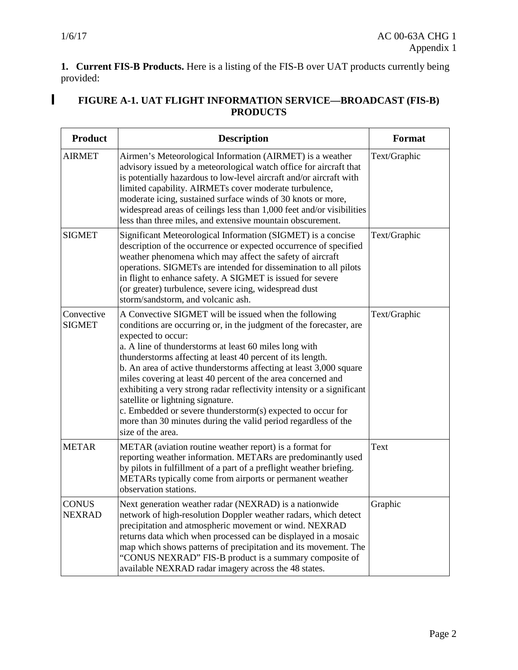$\blacksquare$ 

**1. Current FIS-B Products.** Here is a listing of the FIS-B over UAT products currently being provided:

#### **FIGURE A-1. UAT FLIGHT INFORMATION SERVICE—BROADCAST (FIS-B) PRODUCTS**

| <b>Product</b>                | <b>Description</b>                                                                                                                                                                                                                                                                                                                                                                                                                                                                                                                                                                                                                                                                    | Format       |
|-------------------------------|---------------------------------------------------------------------------------------------------------------------------------------------------------------------------------------------------------------------------------------------------------------------------------------------------------------------------------------------------------------------------------------------------------------------------------------------------------------------------------------------------------------------------------------------------------------------------------------------------------------------------------------------------------------------------------------|--------------|
| <b>AIRMET</b>                 | Airmen's Meteorological Information (AIRMET) is a weather<br>advisory issued by a meteorological watch office for aircraft that<br>is potentially hazardous to low-level aircraft and/or aircraft with<br>limited capability. AIRMETs cover moderate turbulence,<br>moderate icing, sustained surface winds of 30 knots or more,<br>widespread areas of ceilings less than 1,000 feet and/or visibilities<br>less than three miles, and extensive mountain obscurement.                                                                                                                                                                                                               | Text/Graphic |
| <b>SIGMET</b>                 | Significant Meteorological Information (SIGMET) is a concise<br>description of the occurrence or expected occurrence of specified<br>weather phenomena which may affect the safety of aircraft<br>operations. SIGMETs are intended for dissemination to all pilots<br>in flight to enhance safety. A SIGMET is issued for severe<br>(or greater) turbulence, severe icing, widespread dust<br>storm/sandstorm, and volcanic ash.                                                                                                                                                                                                                                                      | Text/Graphic |
| Convective<br><b>SIGMET</b>   | A Convective SIGMET will be issued when the following<br>conditions are occurring or, in the judgment of the forecaster, are<br>expected to occur:<br>a. A line of thunderstorms at least 60 miles long with<br>thunderstorms affecting at least 40 percent of its length.<br>b. An area of active thunderstorms affecting at least 3,000 square<br>miles covering at least 40 percent of the area concerned and<br>exhibiting a very strong radar reflectivity intensity or a significant<br>satellite or lightning signature.<br>c. Embedded or severe thunderstorm(s) expected to occur for<br>more than 30 minutes during the valid period regardless of the<br>size of the area. | Text/Graphic |
| <b>METAR</b>                  | METAR (aviation routine weather report) is a format for<br>reporting weather information. METARs are predominantly used<br>by pilots in fulfillment of a part of a preflight weather briefing.<br>METARs typically come from airports or permanent weather<br>observation stations.                                                                                                                                                                                                                                                                                                                                                                                                   | Text         |
| <b>CONUS</b><br><b>NEXRAD</b> | Next generation weather radar (NEXRAD) is a nationwide<br>network of high-resolution Doppler weather radars, which detect<br>precipitation and atmospheric movement or wind. NEXRAD<br>returns data which when processed can be displayed in a mosaic<br>map which shows patterns of precipitation and its movement. The<br>"CONUS NEXRAD" FIS-B product is a summary composite of<br>available NEXRAD radar imagery across the 48 states.                                                                                                                                                                                                                                            | Graphic      |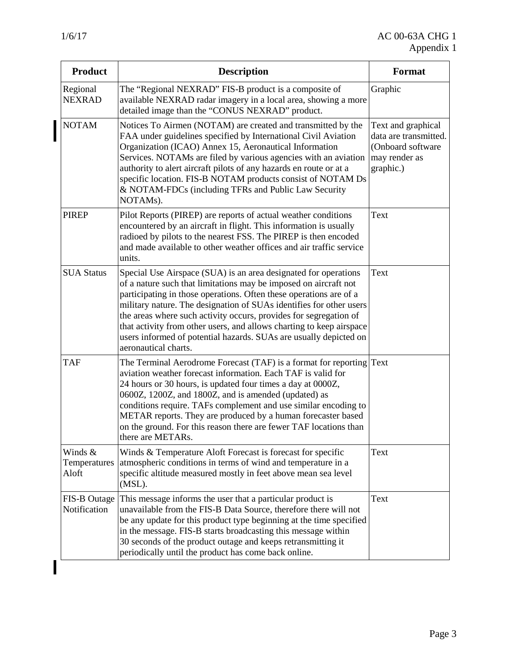| <b>Product</b>                   | <b>Description</b>                                                                                                                                                                                                                                                                                                                                                                                                                                                                                                         | Format                                                                                         |
|----------------------------------|----------------------------------------------------------------------------------------------------------------------------------------------------------------------------------------------------------------------------------------------------------------------------------------------------------------------------------------------------------------------------------------------------------------------------------------------------------------------------------------------------------------------------|------------------------------------------------------------------------------------------------|
| Regional<br><b>NEXRAD</b>        | The "Regional NEXRAD" FIS-B product is a composite of<br>available NEXRAD radar imagery in a local area, showing a more<br>detailed image than the "CONUS NEXRAD" product.                                                                                                                                                                                                                                                                                                                                                 | Graphic                                                                                        |
| <b>NOTAM</b>                     | Notices To Airmen (NOTAM) are created and transmitted by the<br>FAA under guidelines specified by International Civil Aviation<br>Organization (ICAO) Annex 15, Aeronautical Information<br>Services. NOTAMs are filed by various agencies with an aviation<br>authority to alert aircraft pilots of any hazards en route or at a<br>specific location. FIS-B NOTAM products consist of NOTAM Ds<br>& NOTAM-FDCs (including TFRs and Public Law Security<br>NOTAMs).                                                       | Text and graphical<br>data are transmitted.<br>(Onboard software<br>may render as<br>graphic.) |
| <b>PIREP</b>                     | Pilot Reports (PIREP) are reports of actual weather conditions<br>encountered by an aircraft in flight. This information is usually<br>radioed by pilots to the nearest FSS. The PIREP is then encoded<br>and made available to other weather offices and air traffic service<br>units.                                                                                                                                                                                                                                    | Text                                                                                           |
| <b>SUA Status</b>                | Special Use Airspace (SUA) is an area designated for operations<br>of a nature such that limitations may be imposed on aircraft not<br>participating in those operations. Often these operations are of a<br>military nature. The designation of SUAs identifies for other users<br>the areas where such activity occurs, provides for segregation of<br>that activity from other users, and allows charting to keep airspace<br>users informed of potential hazards. SUAs are usually depicted on<br>aeronautical charts. | Text                                                                                           |
| <b>TAF</b>                       | The Terminal Aerodrome Forecast (TAF) is a format for reporting Text<br>aviation weather forecast information. Each TAF is valid for<br>24 hours or 30 hours, is updated four times a day at 0000Z,<br>0600Z, 1200Z, and 1800Z, and is amended (updated) as<br>conditions require. TAFs complement and use similar encoding to<br>METAR reports. They are produced by a human forecaster based<br>on the ground. For this reason there are fewer TAF locations than<br>there are METARs.                                   |                                                                                                |
| Winds &<br>Temperatures<br>Aloft | Winds & Temperature Aloft Forecast is forecast for specific<br>atmospheric conditions in terms of wind and temperature in a<br>specific altitude measured mostly in feet above mean sea level<br>(MSL).                                                                                                                                                                                                                                                                                                                    | Text                                                                                           |
| FIS-B Outage<br>Notification     | This message informs the user that a particular product is<br>unavailable from the FIS-B Data Source, therefore there will not<br>be any update for this product type beginning at the time specified<br>in the message. FIS-B starts broadcasting this message within<br>30 seconds of the product outage and keeps retransmitting it<br>periodically until the product has come back online.                                                                                                                             | Text                                                                                           |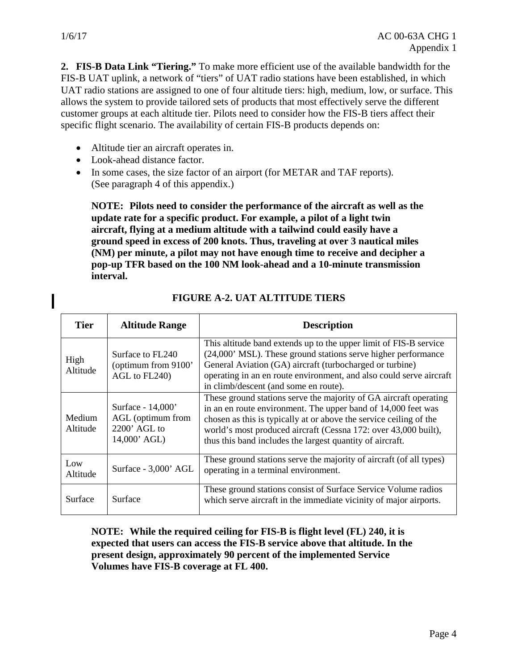ı

**2. FIS-B Data Link "Tiering."** To make more efficient use of the available bandwidth for the FIS-B UAT uplink, a network of "tiers" of UAT radio stations have been established, in which UAT radio stations are assigned to one of four altitude tiers: high, medium, low, or surface. This allows the system to provide tailored sets of products that most effectively serve the different customer groups at each altitude tier. Pilots need to consider how the FIS-B tiers affect their specific flight scenario. The availability of certain FIS-B products depends on:

- Altitude tier an aircraft operates in.
- Look-ahead distance factor.
- In some cases, the size factor of an airport (for METAR and TAF reports). (See paragraph 4 of this appendix.)

**NOTE: Pilots need to consider the performance of the aircraft as well as the update rate for a specific product. For example, a pilot of a light twin aircraft, flying at a medium altitude with a tailwind could easily have a ground speed in excess of 200 knots. Thus, traveling at over 3 nautical miles (NM) per minute, a pilot may not have enough time to receive and decipher a pop-up TFR based on the 100 NM look-ahead and a 10-minute transmission interval.**

| <b>Tier</b>               | <b>Altitude Range</b>                                                      | <b>Description</b>                                                                                                                                                                                                                                                                                                                       |
|---------------------------|----------------------------------------------------------------------------|------------------------------------------------------------------------------------------------------------------------------------------------------------------------------------------------------------------------------------------------------------------------------------------------------------------------------------------|
| High<br>Altitude          | Surface to FL240<br>(optimum from 9100'<br>AGL to FL240)                   | This altitude band extends up to the upper limit of FIS-B service<br>(24,000' MSL). These ground stations serve higher performance<br>General Aviation (GA) aircraft (turbocharged or turbine)<br>operating in an en route environment, and also could serve aircraft<br>in climb/descent (and some en route).                           |
| <b>Medium</b><br>Altitude | Surface - $14,000'$<br>AGL (optimum from<br>$2200'$ AGL to<br>14,000' AGL) | These ground stations serve the majority of GA aircraft operating<br>in an en route environment. The upper band of 14,000 feet was<br>chosen as this is typically at or above the service ceiling of the<br>world's most produced aircraft (Cessna 172: over 43,000 built),<br>thus this band includes the largest quantity of aircraft. |
| Low<br>Altitude           | Surface - 3,000' AGL                                                       | These ground stations serve the majority of aircraft (of all types)<br>operating in a terminal environment.                                                                                                                                                                                                                              |
| Surface                   | Surface                                                                    | These ground stations consist of Surface Service Volume radios<br>which serve aircraft in the immediate vicinity of major airports.                                                                                                                                                                                                      |

#### **FIGURE A-2. UAT ALTITUDE TIERS**

**NOTE: While the required ceiling for FIS-B is flight level (FL) 240, it is expected that users can access the FIS-B service above that altitude. In the present design, approximately 90 percent of the implemented Service Volumes have FIS-B coverage at FL 400.**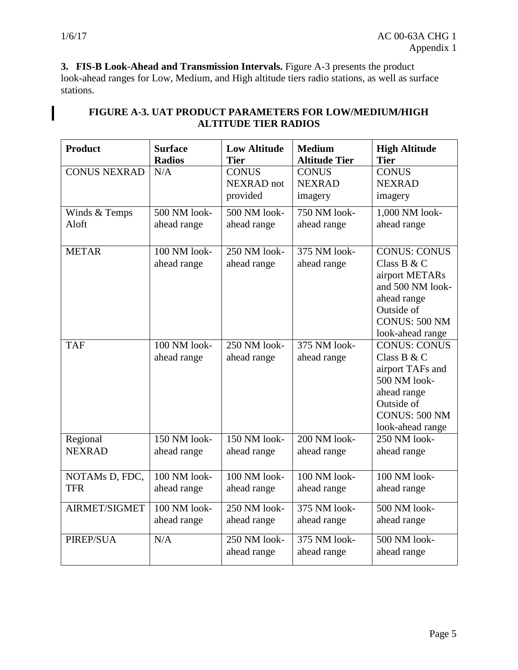$\overline{\phantom{a}}$ 

**3. FIS-B Look-Ahead and Transmission Intervals.** Figure A-3 presents the product look-ahead ranges for Low, Medium, and High altitude tiers radio stations, as well as surface stations.

| <b>Product</b>            | <b>Surface</b><br><b>Radios</b> | <b>Low Altitude</b><br><b>Tier</b> | <b>Medium</b><br><b>Altitude Tier</b> | <b>High Altitude</b><br><b>Tier</b> |
|---------------------------|---------------------------------|------------------------------------|---------------------------------------|-------------------------------------|
| <b>CONUS NEXRAD</b>       | N/A                             | <b>CONUS</b>                       | <b>CONUS</b>                          | <b>CONUS</b>                        |
|                           |                                 | NEXRAD not                         | <b>NEXRAD</b>                         | <b>NEXRAD</b>                       |
|                           |                                 | provided                           | imagery                               | imagery                             |
| Winds & Temps             | 500 NM look-                    | 500 NM look-                       | 750 NM look-                          | 1,000 NM look-                      |
| Aloft                     | ahead range                     | ahead range                        | ahead range                           | ahead range                         |
|                           |                                 |                                    |                                       |                                     |
| <b>METAR</b>              | 100 NM look-                    | 250 NM look-                       | 375 NM look-                          | <b>CONUS: CONUS</b>                 |
|                           | ahead range                     | ahead range                        | ahead range                           | Class B & C                         |
|                           |                                 |                                    |                                       | airport METARs                      |
|                           |                                 |                                    |                                       | and 500 NM look-                    |
|                           |                                 |                                    |                                       | ahead range<br>Outside of           |
|                           |                                 |                                    |                                       | CONUS: 500 NM                       |
|                           |                                 |                                    |                                       | look-ahead range                    |
| <b>TAF</b>                | 100 NM look-                    | 250 NM look-                       | 375 NM look-                          | <b>CONUS: CONUS</b>                 |
|                           | ahead range                     | ahead range                        | ahead range                           | Class B & C                         |
|                           |                                 |                                    |                                       | airport TAFs and                    |
|                           |                                 |                                    |                                       | 500 NM look-                        |
|                           |                                 |                                    |                                       | ahead range                         |
|                           |                                 |                                    |                                       | Outside of                          |
|                           |                                 |                                    |                                       | CONUS: 500 NM                       |
|                           | 150 NM look-                    | $150$ NM look-                     | 200 NM look-                          | look-ahead range<br>250 NM look-    |
| Regional<br><b>NEXRAD</b> | ahead range                     | ahead range                        | ahead range                           | ahead range                         |
|                           |                                 |                                    |                                       |                                     |
| NOTAMs D, FDC,            | 100 NM look-                    | 100 NM look-                       | 100 NM look-                          | 100 NM look-                        |
| <b>TFR</b>                | ahead range                     | ahead range                        | ahead range                           | ahead range                         |
|                           |                                 |                                    |                                       |                                     |
| <b>AIRMET/SIGMET</b>      | 100 NM look-                    | 250 NM look-                       | 375 NM look-                          | 500 NM look-                        |
|                           | ahead range                     | ahead range                        | ahead range                           | ahead range                         |
| <b>PIREP/SUA</b>          | N/A                             | 250 NM look-                       | 375 NM look-                          | 500 NM look-                        |
|                           |                                 | ahead range                        | ahead range                           | ahead range                         |
|                           |                                 |                                    |                                       |                                     |

#### **FIGURE A-3. UAT PRODUCT PARAMETERS FOR LOW/MEDIUM/HIGH ALTITUDE TIER RADIOS**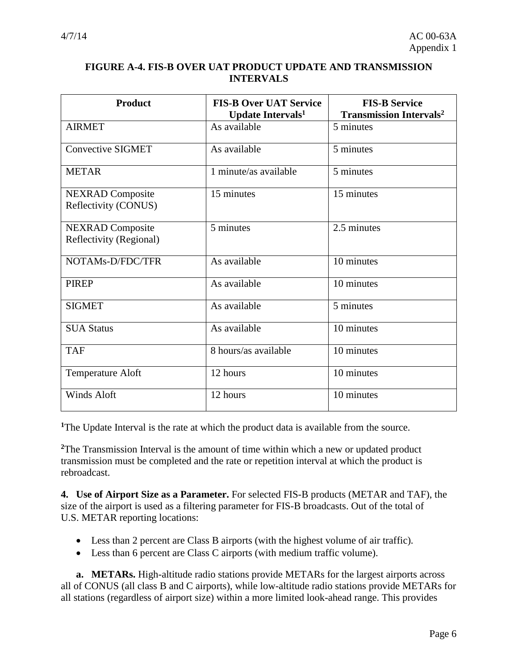#### **FIGURE A-4. FIS-B OVER UAT PRODUCT UPDATE AND TRANSMISSION INTERVALS**

| <b>Product</b>                                     | <b>FIS-B Over UAT Service</b><br><b>Update Intervals<sup>1</sup></b> | <b>FIS-B Service</b><br><b>Transmission Intervals<sup>2</sup></b> |
|----------------------------------------------------|----------------------------------------------------------------------|-------------------------------------------------------------------|
| <b>AIRMET</b>                                      | As available                                                         | 5 minutes                                                         |
| <b>Convective SIGMET</b>                           | As available                                                         | 5 minutes                                                         |
| <b>METAR</b>                                       | 1 minute/as available                                                | 5 minutes                                                         |
| <b>NEXRAD</b> Composite<br>Reflectivity (CONUS)    | 15 minutes                                                           | 15 minutes                                                        |
| <b>NEXRAD</b> Composite<br>Reflectivity (Regional) | 5 minutes                                                            | 2.5 minutes                                                       |
| NOTAMs-D/FDC/TFR                                   | As available                                                         | 10 minutes                                                        |
| <b>PIREP</b>                                       | As available                                                         | 10 minutes                                                        |
| <b>SIGMET</b>                                      | As available                                                         | 5 minutes                                                         |
| <b>SUA Status</b>                                  | As available                                                         | 10 minutes                                                        |
| <b>TAF</b>                                         | 8 hours/as available                                                 | 10 minutes                                                        |
| Temperature Aloft                                  | 12 hours                                                             | 10 minutes                                                        |
| <b>Winds Aloft</b>                                 | 12 hours                                                             | 10 minutes                                                        |

**<sup>1</sup>**The Update Interval is the rate at which the product data is available from the source.

**<sup>2</sup>**The Transmission Interval is the amount of time within which a new or updated product transmission must be completed and the rate or repetition interval at which the product is rebroadcast.

**4. Use of Airport Size as a Parameter.** For selected FIS-B products (METAR and TAF), the size of the airport is used as a filtering parameter for FIS-B broadcasts. Out of the total of U.S. METAR reporting locations:

- Less than 2 percent are Class B airports (with the highest volume of air traffic).
- Less than 6 percent are Class C airports (with medium traffic volume).

**a. METARs.** High-altitude radio stations provide METARs for the largest airports across all of CONUS (all class B and C airports), while low-altitude radio stations provide METARs for all stations (regardless of airport size) within a more limited look-ahead range. This provides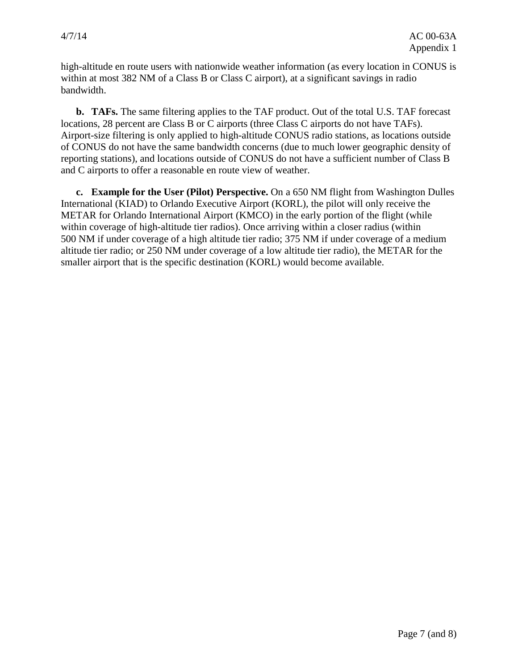high-altitude en route users with nationwide weather information (as every location in CONUS is within at most 382 NM of a Class B or Class C airport), at a significant savings in radio bandwidth.

**b. TAFs.** The same filtering applies to the TAF product. Out of the total U.S. TAF forecast locations, 28 percent are Class B or C airports (three Class C airports do not have TAFs). Airport-size filtering is only applied to high-altitude CONUS radio stations, as locations outside of CONUS do not have the same bandwidth concerns (due to much lower geographic density of reporting stations), and locations outside of CONUS do not have a sufficient number of Class B and C airports to offer a reasonable en route view of weather.

**c. Example for the User (Pilot) Perspective.** On a 650 NM flight from Washington Dulles International (KIAD) to Orlando Executive Airport (KORL), the pilot will only receive the METAR for Orlando International Airport (KMCO) in the early portion of the flight (while within coverage of high-altitude tier radios). Once arriving within a closer radius (within 500 NM if under coverage of a high altitude tier radio; 375 NM if under coverage of a medium altitude tier radio; or 250 NM under coverage of a low altitude tier radio), the METAR for the smaller airport that is the specific destination (KORL) would become available.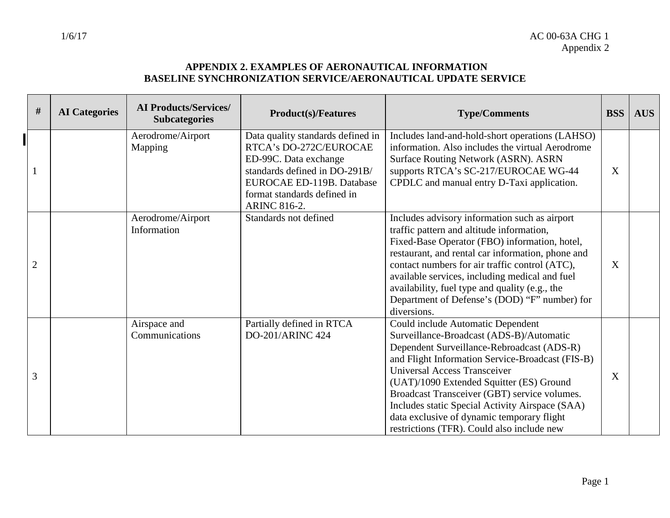#### **APPENDIX 2. EXAMPLES OF AERONAUTICAL INFORMATION BASELINE SYNCHRONIZATION SERVICE/AERONAUTICAL UPDATE SERVICE**

| $\#$           | <b>AI</b> Categories | <b>AI Products/Services/</b><br><b>Subcategories</b> | <b>Product(s)/Features</b>                                                                                                                                                                               | <b>Type/Comments</b>                                                                                                                                                                                                                                                                                                                                                                                                                                              | <b>BSS</b> | <b>AUS</b> |
|----------------|----------------------|------------------------------------------------------|----------------------------------------------------------------------------------------------------------------------------------------------------------------------------------------------------------|-------------------------------------------------------------------------------------------------------------------------------------------------------------------------------------------------------------------------------------------------------------------------------------------------------------------------------------------------------------------------------------------------------------------------------------------------------------------|------------|------------|
|                |                      | Aerodrome/Airport<br>Mapping                         | Data quality standards defined in<br>RTCA's DO-272C/EUROCAE<br>ED-99C. Data exchange<br>standards defined in DO-291B/<br>EUROCAE ED-119B. Database<br>format standards defined in<br><b>ARINC 816-2.</b> | Includes land-and-hold-short operations (LAHSO)<br>information. Also includes the virtual Aerodrome<br>Surface Routing Network (ASRN). ASRN<br>supports RTCA's SC-217/EUROCAE WG-44<br>CPDLC and manual entry D-Taxi application.                                                                                                                                                                                                                                 | X          |            |
| $\overline{2}$ |                      | Aerodrome/Airport<br>Information                     | Standards not defined                                                                                                                                                                                    | Includes advisory information such as airport<br>traffic pattern and altitude information,<br>Fixed-Base Operator (FBO) information, hotel,<br>restaurant, and rental car information, phone and<br>contact numbers for air traffic control (ATC),<br>available services, including medical and fuel<br>availability, fuel type and quality (e.g., the<br>Department of Defense's (DOD) "F" number) for<br>diversions.                                            | X          |            |
| 3              |                      | Airspace and<br>Communications                       | Partially defined in RTCA<br><b>DO-201/ARINC 424</b>                                                                                                                                                     | Could include Automatic Dependent<br>Surveillance-Broadcast (ADS-B)/Automatic<br>Dependent Surveillance-Rebroadcast (ADS-R)<br>and Flight Information Service-Broadcast (FIS-B)<br><b>Universal Access Transceiver</b><br>(UAT)/1090 Extended Squitter (ES) Ground<br>Broadcast Transceiver (GBT) service volumes.<br>Includes static Special Activity Airspace (SAA)<br>data exclusive of dynamic temporary flight<br>restrictions (TFR). Could also include new | X          |            |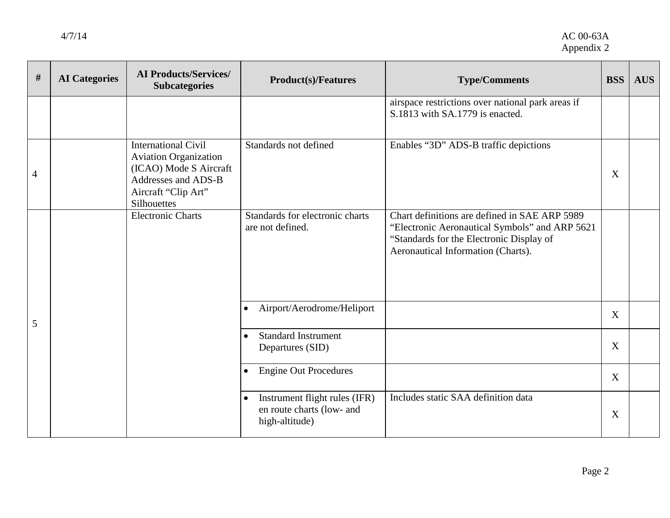| $\#$           | <b>AI</b> Categories | <b>AI Products/Services/</b><br><b>Subcategories</b>                                                                                              | <b>Product(s)/Features</b>                                                                | <b>Type/Comments</b>                                                                                                                                                              | <b>BSS</b> | <b>AUS</b> |
|----------------|----------------------|---------------------------------------------------------------------------------------------------------------------------------------------------|-------------------------------------------------------------------------------------------|-----------------------------------------------------------------------------------------------------------------------------------------------------------------------------------|------------|------------|
|                |                      |                                                                                                                                                   |                                                                                           | airspace restrictions over national park areas if<br>S.1813 with SA.1779 is enacted.                                                                                              |            |            |
| $\overline{4}$ |                      | <b>International Civil</b><br><b>Aviation Organization</b><br>(ICAO) Mode S Aircraft<br>Addresses and ADS-B<br>Aircraft "Clip Art"<br>Silhouettes | Standards not defined                                                                     | Enables "3D" ADS-B traffic depictions                                                                                                                                             | X          |            |
|                |                      | <b>Electronic Charts</b>                                                                                                                          | Standards for electronic charts<br>are not defined.                                       | Chart definitions are defined in SAE ARP 5989<br>"Electronic Aeronautical Symbols" and ARP 5621<br>"Standards for the Electronic Display of<br>Aeronautical Information (Charts). |            |            |
| 5              |                      |                                                                                                                                                   | Airport/Aerodrome/Heliport<br>$\bullet$                                                   |                                                                                                                                                                                   | X          |            |
|                |                      |                                                                                                                                                   | <b>Standard Instrument</b><br>$\bullet$<br>Departures (SID)                               |                                                                                                                                                                                   | X          |            |
|                |                      |                                                                                                                                                   | <b>Engine Out Procedures</b><br>$\bullet$                                                 |                                                                                                                                                                                   | X          |            |
|                |                      |                                                                                                                                                   | Instrument flight rules (IFR)<br>$\bullet$<br>en route charts (low- and<br>high-altitude) | Includes static SAA definition data                                                                                                                                               | X          |            |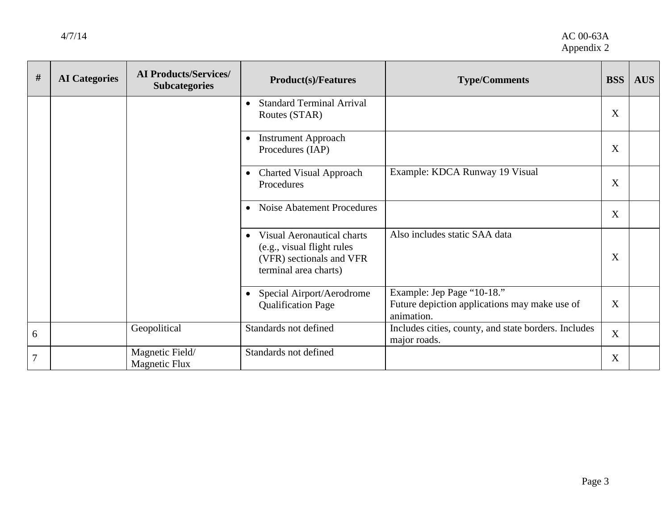| #              | <b>AI</b> Categories | <b>AI Products/Services/</b><br><b>Subcategories</b> | <b>Product(s)/Features</b>                                                                                                         | <b>Type/Comments</b>                                                                      | <b>BSS</b> | <b>AUS</b> |
|----------------|----------------------|------------------------------------------------------|------------------------------------------------------------------------------------------------------------------------------------|-------------------------------------------------------------------------------------------|------------|------------|
|                |                      |                                                      | <b>Standard Terminal Arrival</b><br>$\bullet$<br>Routes (STAR)                                                                     |                                                                                           | X          |            |
|                |                      |                                                      | <b>Instrument Approach</b><br>$\bullet$<br>Procedures (IAP)                                                                        |                                                                                           | X          |            |
|                |                      |                                                      | <b>Charted Visual Approach</b><br>$\bullet$<br>Procedures                                                                          | Example: KDCA Runway 19 Visual                                                            | X          |            |
|                |                      |                                                      | Noise Abatement Procedures<br>$\bullet$                                                                                            |                                                                                           | X          |            |
|                |                      |                                                      | <b>Visual Aeronautical charts</b><br>$\bullet$<br>(e.g., visual flight rules)<br>(VFR) sectionals and VFR<br>terminal area charts) | Also includes static SAA data                                                             | X          |            |
|                |                      |                                                      | Special Airport/Aerodrome<br>$\bullet$<br><b>Qualification Page</b>                                                                | Example: Jep Page "10-18."<br>Future depiction applications may make use of<br>animation. | X          |            |
| 6              |                      | Geopolitical                                         | Standards not defined                                                                                                              | Includes cities, county, and state borders. Includes<br>major roads.                      | X          |            |
| $\overline{7}$ |                      | Magnetic Field/<br><b>Magnetic Flux</b>              | Standards not defined                                                                                                              |                                                                                           | X          |            |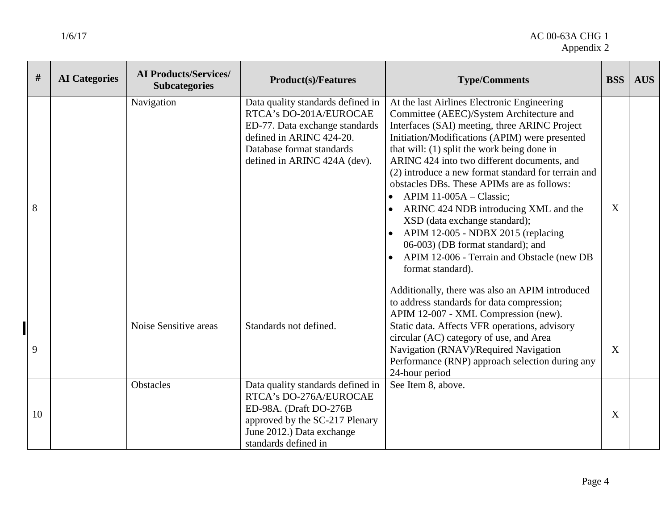| #  | <b>AI</b> Categories | <b>AI Products/Services/</b><br><b>Subcategories</b> | <b>Product(s)/Features</b>                                                                                                                                                             | <b>Type/Comments</b>                                                                                                                                                                                                                                                                                                                                                                                                                                                                                                                                                                                                                                                                                                                                                                        | <b>BSS</b> | <b>AUS</b> |
|----|----------------------|------------------------------------------------------|----------------------------------------------------------------------------------------------------------------------------------------------------------------------------------------|---------------------------------------------------------------------------------------------------------------------------------------------------------------------------------------------------------------------------------------------------------------------------------------------------------------------------------------------------------------------------------------------------------------------------------------------------------------------------------------------------------------------------------------------------------------------------------------------------------------------------------------------------------------------------------------------------------------------------------------------------------------------------------------------|------------|------------|
| 8  |                      | Navigation                                           | Data quality standards defined in<br>RTCA's DO-201A/EUROCAE<br>ED-77. Data exchange standards<br>defined in ARINC 424-20.<br>Database format standards<br>defined in ARINC 424A (dev). | At the last Airlines Electronic Engineering<br>Committee (AEEC)/System Architecture and<br>Interfaces (SAI) meeting, three ARINC Project<br>Initiation/Modifications (APIM) were presented<br>that will: (1) split the work being done in<br>ARINC 424 into two different documents, and<br>(2) introduce a new format standard for terrain and<br>obstacles DBs. These APIMs are as follows:<br>APIM 11-005A - Classic;<br>ARINC 424 NDB introducing XML and the<br>XSD (data exchange standard);<br>• APIM 12-005 - NDBX 2015 (replacing<br>06-003) (DB format standard); and<br>APIM 12-006 - Terrain and Obstacle (new DB<br>format standard).<br>Additionally, there was also an APIM introduced<br>to address standards for data compression;<br>APIM 12-007 - XML Compression (new). | X          |            |
| 9  |                      | Noise Sensitive areas                                | Standards not defined.                                                                                                                                                                 | Static data. Affects VFR operations, advisory<br>circular (AC) category of use, and Area<br>Navigation (RNAV)/Required Navigation<br>Performance (RNP) approach selection during any<br>24-hour period                                                                                                                                                                                                                                                                                                                                                                                                                                                                                                                                                                                      | X          |            |
| 10 |                      | <b>Obstacles</b>                                     | Data quality standards defined in<br>RTCA's DO-276A/EUROCAE<br>ED-98A. (Draft DO-276B<br>approved by the SC-217 Plenary<br>June 2012.) Data exchange<br>standards defined in           | See Item 8, above.                                                                                                                                                                                                                                                                                                                                                                                                                                                                                                                                                                                                                                                                                                                                                                          | X          |            |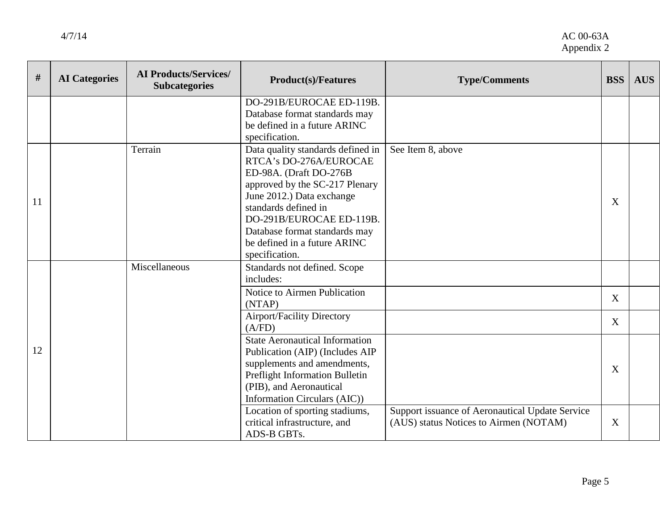| #  | <b>AI</b> Categories | <b>AI Products/Services/</b><br><b>Subcategories</b> | <b>Product(s)/Features</b>                                                                                                                                                                                                                                                                  | <b>Type/Comments</b>                                                                      | <b>BSS</b> | <b>AUS</b> |
|----|----------------------|------------------------------------------------------|---------------------------------------------------------------------------------------------------------------------------------------------------------------------------------------------------------------------------------------------------------------------------------------------|-------------------------------------------------------------------------------------------|------------|------------|
|    |                      |                                                      | DO-291B/EUROCAE ED-119B.<br>Database format standards may<br>be defined in a future ARINC<br>specification.                                                                                                                                                                                 |                                                                                           |            |            |
| 11 |                      | Terrain                                              | Data quality standards defined in<br>RTCA's DO-276A/EUROCAE<br>ED-98A. (Draft DO-276B<br>approved by the SC-217 Plenary<br>June 2012.) Data exchange<br>standards defined in<br>DO-291B/EUROCAE ED-119B.<br>Database format standards may<br>be defined in a future ARINC<br>specification. | See Item 8, above                                                                         | X          |            |
|    |                      | Miscellaneous                                        | Standards not defined. Scope<br>includes:                                                                                                                                                                                                                                                   |                                                                                           |            |            |
|    |                      |                                                      | Notice to Airmen Publication<br>(NTAP)                                                                                                                                                                                                                                                      |                                                                                           | X          |            |
|    |                      |                                                      | <b>Airport/Facility Directory</b><br>(A/FD)                                                                                                                                                                                                                                                 |                                                                                           | X          |            |
| 12 |                      |                                                      | <b>State Aeronautical Information</b><br>Publication (AIP) (Includes AIP<br>supplements and amendments,<br>Preflight Information Bulletin<br>(PIB), and Aeronautical<br>Information Circulars (AIC))                                                                                        |                                                                                           | X          |            |
|    |                      |                                                      | Location of sporting stadiums,<br>critical infrastructure, and<br>ADS-B GBTs.                                                                                                                                                                                                               | Support issuance of Aeronautical Update Service<br>(AUS) status Notices to Airmen (NOTAM) | X          |            |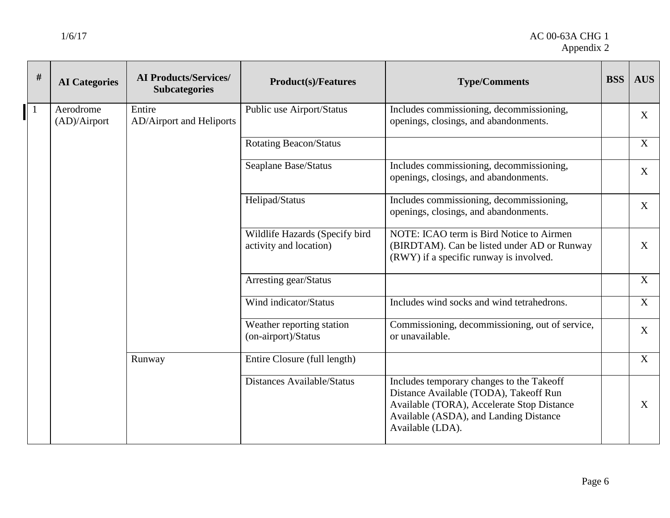┱

 $\overline{\phantom{0}}$ 

 $\mathbf{r}$ 

┍

┱

| $\#$ | <b>AI</b> Categories      | <b>AI Products/Services/</b><br><b>Subcategories</b> | <b>Product(s)/Features</b>                               | <b>Type/Comments</b>                                                                                                                                                                            | <b>BSS</b> | <b>AUS</b>        |
|------|---------------------------|------------------------------------------------------|----------------------------------------------------------|-------------------------------------------------------------------------------------------------------------------------------------------------------------------------------------------------|------------|-------------------|
|      | Aerodrome<br>(AD)/Airport | Entire<br>AD/Airport and Heliports                   | Public use Airport/Status                                | Includes commissioning, decommissioning,<br>openings, closings, and abandonments.                                                                                                               |            | $X_{\mathcal{C}}$ |
|      |                           |                                                      | <b>Rotating Beacon/Status</b>                            |                                                                                                                                                                                                 |            | X                 |
|      |                           |                                                      | Seaplane Base/Status                                     | Includes commissioning, decommissioning,<br>openings, closings, and abandonments.                                                                                                               |            | $\mathbf{X}$      |
|      |                           |                                                      | Helipad/Status                                           | Includes commissioning, decommissioning,<br>openings, closings, and abandonments.                                                                                                               |            | $X_{\mathcal{C}}$ |
|      |                           |                                                      | Wildlife Hazards (Specify bird<br>activity and location) | NOTE: ICAO term is Bird Notice to Airmen<br>(BIRDTAM). Can be listed under AD or Runway<br>(RWY) if a specific runway is involved.                                                              |            | X                 |
|      |                           |                                                      | Arresting gear/Status                                    |                                                                                                                                                                                                 |            | X                 |
|      |                           |                                                      | Wind indicator/Status                                    | Includes wind socks and wind tetrahedrons.                                                                                                                                                      |            | X                 |
|      |                           |                                                      | Weather reporting station<br>(on-airport)/Status         | Commissioning, decommissioning, out of service,<br>or unavailable.                                                                                                                              |            | X                 |
|      |                           | Runway                                               | Entire Closure (full length)                             |                                                                                                                                                                                                 |            | X                 |
|      |                           |                                                      | <b>Distances Available/Status</b>                        | Includes temporary changes to the Takeoff<br>Distance Available (TODA), Takeoff Run<br>Available (TORA), Accelerate Stop Distance<br>Available (ASDA), and Landing Distance<br>Available (LDA). |            | X                 |

┬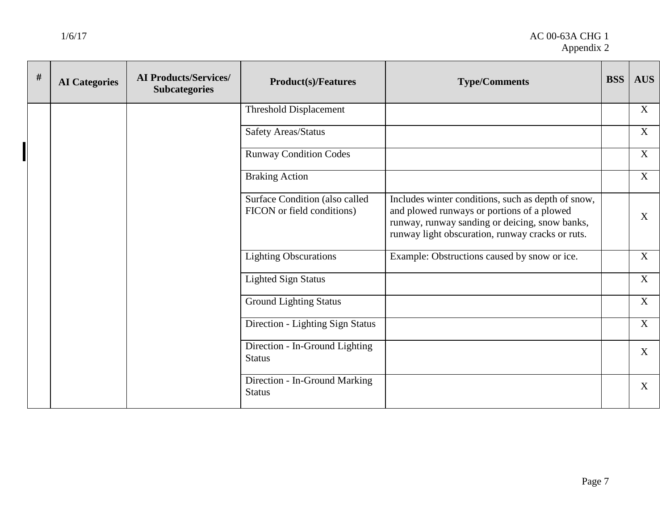#### 1/6/17 AC 00-63A CHG 1 Appendix 2

| # | <b>AI</b> Categories | <b>AI Products/Services/</b><br><b>Subcategories</b> | <b>Product(s)/Features</b>                                   | <b>Type/Comments</b>                                                                                                                                                                                   | <b>BSS</b> | <b>AUS</b>       |
|---|----------------------|------------------------------------------------------|--------------------------------------------------------------|--------------------------------------------------------------------------------------------------------------------------------------------------------------------------------------------------------|------------|------------------|
|   |                      |                                                      | <b>Threshold Displacement</b>                                |                                                                                                                                                                                                        |            | $\mathbf{X}$     |
|   |                      |                                                      | <b>Safety Areas/Status</b>                                   |                                                                                                                                                                                                        |            | $\boldsymbol{X}$ |
|   |                      |                                                      | <b>Runway Condition Codes</b>                                |                                                                                                                                                                                                        |            | X                |
|   |                      |                                                      | <b>Braking Action</b>                                        |                                                                                                                                                                                                        |            | $\mathbf X$      |
|   |                      |                                                      | Surface Condition (also called<br>FICON or field conditions) | Includes winter conditions, such as depth of snow,<br>and plowed runways or portions of a plowed<br>runway, runway sanding or deicing, snow banks,<br>runway light obscuration, runway cracks or ruts. |            | X                |
|   |                      |                                                      | <b>Lighting Obscurations</b>                                 | Example: Obstructions caused by snow or ice.                                                                                                                                                           |            | X                |
|   |                      |                                                      | <b>Lighted Sign Status</b>                                   |                                                                                                                                                                                                        |            | $\mathbf X$      |
|   |                      |                                                      | <b>Ground Lighting Status</b>                                |                                                                                                                                                                                                        |            | X                |
|   |                      |                                                      | Direction - Lighting Sign Status                             |                                                                                                                                                                                                        |            | $\mathbf{X}$     |
|   |                      |                                                      | Direction - In-Ground Lighting<br><b>Status</b>              |                                                                                                                                                                                                        |            | $\boldsymbol{X}$ |
|   |                      |                                                      | Direction - In-Ground Marking<br><b>Status</b>               |                                                                                                                                                                                                        |            | $\mathbf{X}$     |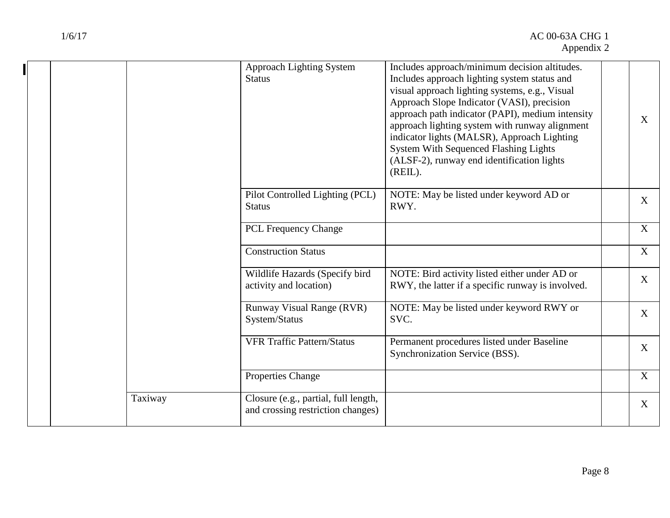┑

|  |         | Approach Lighting System<br><b>Status</b>                                 | Includes approach/minimum decision altitudes.<br>Includes approach lighting system status and<br>visual approach lighting systems, e.g., Visual<br>Approach Slope Indicator (VASI), precision<br>approach path indicator (PAPI), medium intensity<br>approach lighting system with runway alignment<br>indicator lights (MALSR), Approach Lighting<br><b>System With Sequenced Flashing Lights</b><br>(ALSF-2), runway end identification lights<br>(REIL). | X            |
|--|---------|---------------------------------------------------------------------------|-------------------------------------------------------------------------------------------------------------------------------------------------------------------------------------------------------------------------------------------------------------------------------------------------------------------------------------------------------------------------------------------------------------------------------------------------------------|--------------|
|  |         | Pilot Controlled Lighting (PCL)<br><b>Status</b>                          | NOTE: May be listed under keyword AD or<br>RWY.                                                                                                                                                                                                                                                                                                                                                                                                             | X            |
|  |         | <b>PCL Frequency Change</b>                                               |                                                                                                                                                                                                                                                                                                                                                                                                                                                             | X            |
|  |         | <b>Construction Status</b>                                                |                                                                                                                                                                                                                                                                                                                                                                                                                                                             | X            |
|  |         | Wildlife Hazards (Specify bird<br>activity and location)                  | NOTE: Bird activity listed either under AD or<br>RWY, the latter if a specific runway is involved.                                                                                                                                                                                                                                                                                                                                                          | X            |
|  |         | <b>Runway Visual Range (RVR)</b><br>System/Status                         | NOTE: May be listed under keyword RWY or<br>SVC.                                                                                                                                                                                                                                                                                                                                                                                                            | $\mathbf{X}$ |
|  |         | <b>VFR Traffic Pattern/Status</b>                                         | Permanent procedures listed under Baseline<br>Synchronization Service (BSS).                                                                                                                                                                                                                                                                                                                                                                                | X            |
|  |         | Properties Change                                                         |                                                                                                                                                                                                                                                                                                                                                                                                                                                             | X            |
|  | Taxiway | Closure (e.g., partial, full length,<br>and crossing restriction changes) |                                                                                                                                                                                                                                                                                                                                                                                                                                                             | $\mathbf{X}$ |
|  |         |                                                                           |                                                                                                                                                                                                                                                                                                                                                                                                                                                             |              |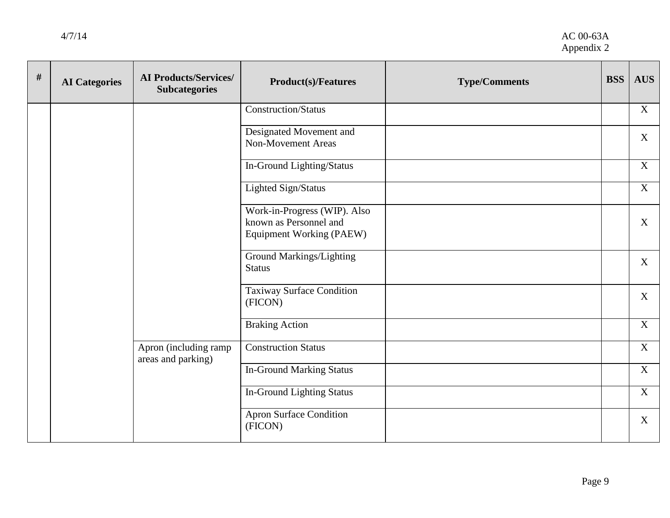| # | <b>AI</b> Categories | <b>AI Products/Services/</b><br><b>Subcategories</b> | <b>Product(s)/Features</b>                                                                | <b>Type/Comments</b> | <b>BSS</b> | <b>AUS</b>        |
|---|----------------------|------------------------------------------------------|-------------------------------------------------------------------------------------------|----------------------|------------|-------------------|
|   |                      |                                                      | <b>Construction/Status</b>                                                                |                      |            | X                 |
|   |                      |                                                      | Designated Movement and<br><b>Non-Movement Areas</b>                                      |                      |            | X                 |
|   |                      |                                                      | In-Ground Lighting/Status                                                                 |                      |            | X                 |
|   |                      |                                                      | Lighted Sign/Status                                                                       |                      |            | X                 |
|   |                      |                                                      | Work-in-Progress (WIP). Also<br>known as Personnel and<br><b>Equipment Working (PAEW)</b> |                      |            | X                 |
|   |                      |                                                      | Ground Markings/Lighting<br><b>Status</b>                                                 |                      |            | X                 |
|   |                      |                                                      | Taxiway Surface Condition<br>(FICON)                                                      |                      |            | $X_{\mathcal{I}}$ |
|   |                      |                                                      | <b>Braking Action</b>                                                                     |                      |            | X                 |
|   |                      | Apron (including ramp<br>areas and parking)          | <b>Construction Status</b>                                                                |                      |            | X                 |
|   |                      |                                                      | <b>In-Ground Marking Status</b>                                                           |                      |            | X                 |
|   |                      |                                                      | <b>In-Ground Lighting Status</b>                                                          |                      |            | X                 |
|   |                      |                                                      | <b>Apron Surface Condition</b><br>(FICON)                                                 |                      |            | X                 |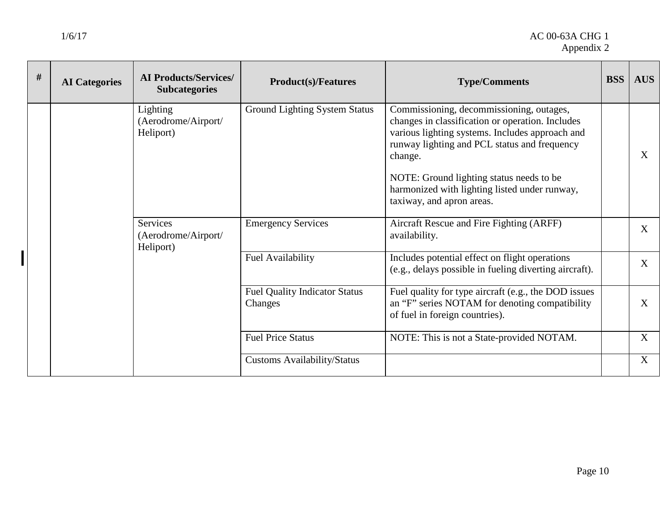| # | <b>AI</b> Categories | <b>AI Products/Services/</b><br><b>Subcategories</b> | <b>Product(s)/Features</b>                      | <b>Type/Comments</b>                                                                                                                                                                                                                                                                                                                 | <b>BSS</b>   | <b>AUS</b>   |
|---|----------------------|------------------------------------------------------|-------------------------------------------------|--------------------------------------------------------------------------------------------------------------------------------------------------------------------------------------------------------------------------------------------------------------------------------------------------------------------------------------|--------------|--------------|
|   |                      | Lighting<br>(Aerodrome/Airport/<br>Heliport)         | <b>Ground Lighting System Status</b>            | Commissioning, decommissioning, outages,<br>changes in classification or operation. Includes<br>various lighting systems. Includes approach and<br>runway lighting and PCL status and frequency<br>change.<br>NOTE: Ground lighting status needs to be<br>harmonized with lighting listed under runway,<br>taxiway, and apron areas. |              | $\mathbf{X}$ |
|   |                      | Services<br>(Aerodrome/Airport/<br>Heliport)         | <b>Emergency Services</b>                       | Aircraft Rescue and Fire Fighting (ARFF)<br>availability.                                                                                                                                                                                                                                                                            |              | X            |
|   |                      |                                                      | Fuel Availability                               | Includes potential effect on flight operations<br>(e.g., delays possible in fueling diverting aircraft).                                                                                                                                                                                                                             |              | X            |
|   |                      |                                                      | <b>Fuel Quality Indicator Status</b><br>Changes | Fuel quality for type aircraft (e.g., the DOD issues<br>an "F" series NOTAM for denoting compatibility<br>of fuel in foreign countries).                                                                                                                                                                                             |              | $\mathbf{X}$ |
|   |                      | <b>Fuel Price Status</b>                             | NOTE: This is not a State-provided NOTAM.       |                                                                                                                                                                                                                                                                                                                                      | $\mathbf{X}$ |              |
|   |                      |                                                      | <b>Customs Availability/Status</b>              |                                                                                                                                                                                                                                                                                                                                      |              | X            |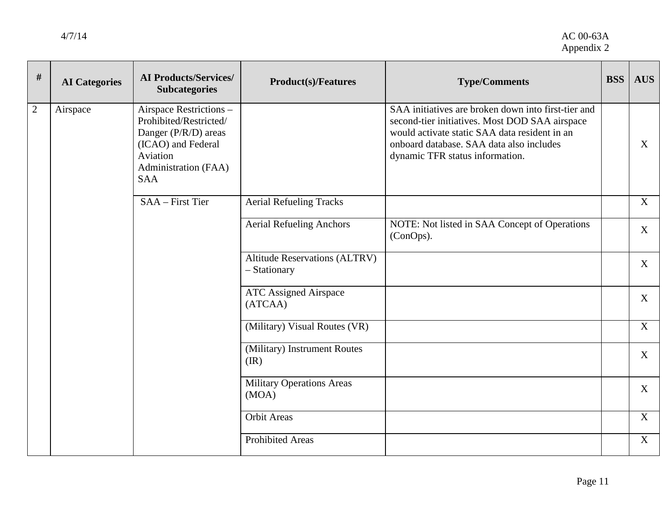| #              | <b>AI</b> Categories | <b>AI Products/Services/</b><br><b>Subcategories</b>                                                                                              | <b>Product(s)/Features</b>                           | <b>Type/Comments</b>                                                                                                                                                                                                                  | <b>BSS</b> | <b>AUS</b>   |
|----------------|----------------------|---------------------------------------------------------------------------------------------------------------------------------------------------|------------------------------------------------------|---------------------------------------------------------------------------------------------------------------------------------------------------------------------------------------------------------------------------------------|------------|--------------|
| $\overline{2}$ | Airspace             | Airspace Restrictions -<br>Prohibited/Restricted/<br>Danger (P/R/D) areas<br>(ICAO) and Federal<br>Aviation<br>Administration (FAA)<br><b>SAA</b> |                                                      | SAA initiatives are broken down into first-tier and<br>second-tier initiatives. Most DOD SAA airspace<br>would activate static SAA data resident in an<br>onboard database. SAA data also includes<br>dynamic TFR status information. |            | X            |
|                |                      | SAA - First Tier                                                                                                                                  | <b>Aerial Refueling Tracks</b>                       |                                                                                                                                                                                                                                       |            | $\mathbf{X}$ |
|                |                      |                                                                                                                                                   | <b>Aerial Refueling Anchors</b>                      | NOTE: Not listed in SAA Concept of Operations<br>(ConOps).                                                                                                                                                                            |            | X            |
|                |                      |                                                                                                                                                   | <b>Altitude Reservations (ALTRV)</b><br>- Stationary |                                                                                                                                                                                                                                       |            | X            |
|                |                      |                                                                                                                                                   | <b>ATC Assigned Airspace</b><br>(ATCAA)              |                                                                                                                                                                                                                                       |            | $\mathbf{X}$ |
|                |                      |                                                                                                                                                   | (Military) Visual Routes (VR)                        |                                                                                                                                                                                                                                       |            | X            |
|                |                      |                                                                                                                                                   | (Military) Instrument Routes<br>(IR)                 |                                                                                                                                                                                                                                       |            | X            |
|                |                      |                                                                                                                                                   | <b>Military Operations Areas</b><br>(MOA)            |                                                                                                                                                                                                                                       |            | X            |
|                |                      |                                                                                                                                                   | <b>Orbit Areas</b>                                   |                                                                                                                                                                                                                                       |            | $\mathbf{X}$ |
|                |                      |                                                                                                                                                   | <b>Prohibited Areas</b>                              |                                                                                                                                                                                                                                       |            | X            |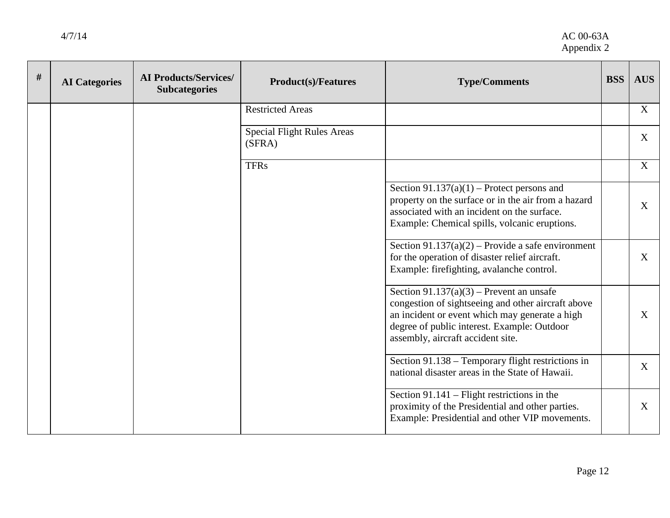| # | <b>AI</b> Categories | <b>AI Products/Services/</b><br><b>Subcategories</b> | <b>Product(s)/Features</b>                  | <b>Type/Comments</b>                                                                                                                                                                                                                   | <b>BSS</b> | <b>AUS</b>   |
|---|----------------------|------------------------------------------------------|---------------------------------------------|----------------------------------------------------------------------------------------------------------------------------------------------------------------------------------------------------------------------------------------|------------|--------------|
|   |                      |                                                      | <b>Restricted Areas</b>                     |                                                                                                                                                                                                                                        |            | $\mathbf X$  |
|   |                      |                                                      | <b>Special Flight Rules Areas</b><br>(SFRA) |                                                                                                                                                                                                                                        |            | X            |
|   |                      |                                                      | <b>TFRs</b>                                 |                                                                                                                                                                                                                                        |            | X            |
|   |                      |                                                      |                                             | Section $91.137(a)(1)$ – Protect persons and<br>property on the surface or in the air from a hazard<br>associated with an incident on the surface.<br>Example: Chemical spills, volcanic eruptions.                                    |            | X            |
|   |                      |                                                      |                                             | Section $91.137(a)(2)$ – Provide a safe environment<br>for the operation of disaster relief aircraft.<br>Example: firefighting, avalanche control.                                                                                     |            | X            |
|   |                      |                                                      |                                             | Section $91.137(a)(3)$ – Prevent an unsafe<br>congestion of sightseeing and other aircraft above<br>an incident or event which may generate a high<br>degree of public interest. Example: Outdoor<br>assembly, aircraft accident site. |            | $\mathbf{X}$ |
|   |                      |                                                      |                                             | Section 91.138 – Temporary flight restrictions in<br>national disaster areas in the State of Hawaii.                                                                                                                                   |            | X            |
|   |                      |                                                      |                                             | Section $91.141$ – Flight restrictions in the<br>proximity of the Presidential and other parties.<br>Example: Presidential and other VIP movements.                                                                                    |            | X            |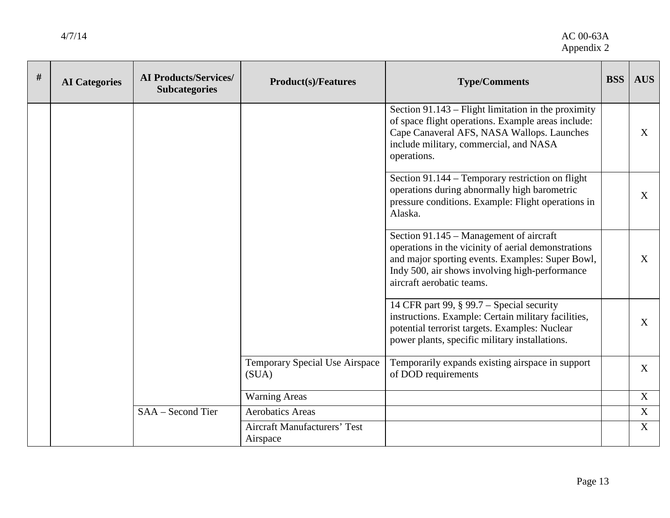4/7/14 AC 00-63A Appendix 2

| # | <b>AI</b> Categories | <b>AI Products/Services/</b><br><b>Subcategories</b> | <b>Product(s)/Features</b>                      | <b>Type/Comments</b>                                                                                                                                                                                                              | <b>BSS</b> | <b>AUS</b>        |
|---|----------------------|------------------------------------------------------|-------------------------------------------------|-----------------------------------------------------------------------------------------------------------------------------------------------------------------------------------------------------------------------------------|------------|-------------------|
|   |                      |                                                      |                                                 | Section $91.143$ – Flight limitation in the proximity<br>of space flight operations. Example areas include:<br>Cape Canaveral AFS, NASA Wallops. Launches<br>include military, commercial, and NASA<br>operations.                |            | X                 |
|   |                      |                                                      |                                                 | Section 91.144 – Temporary restriction on flight<br>operations during abnormally high barometric<br>pressure conditions. Example: Flight operations in<br>Alaska.                                                                 |            | X                 |
|   |                      |                                                      |                                                 | Section 91.145 – Management of aircraft<br>operations in the vicinity of aerial demonstrations<br>and major sporting events. Examples: Super Bowl,<br>Indy 500, air shows involving high-performance<br>aircraft aerobatic teams. |            | X                 |
|   |                      |                                                      |                                                 | 14 CFR part 99, § 99.7 – Special security<br>instructions. Example: Certain military facilities,<br>potential terrorist targets. Examples: Nuclear<br>power plants, specific military installations.                              |            | X                 |
|   |                      |                                                      | Temporary Special Use Airspace<br>(SUA)         | Temporarily expands existing airspace in support<br>of DOD requirements                                                                                                                                                           |            | $X_{\mathcal{C}}$ |
|   |                      |                                                      | <b>Warning Areas</b>                            |                                                                                                                                                                                                                                   |            | $\mathbf{X}$      |
|   |                      | SAA – Second Tier                                    | <b>Aerobatics Areas</b>                         |                                                                                                                                                                                                                                   |            | X                 |
|   |                      |                                                      | <b>Aircraft Manufacturers' Test</b><br>Airspace |                                                                                                                                                                                                                                   |            | X                 |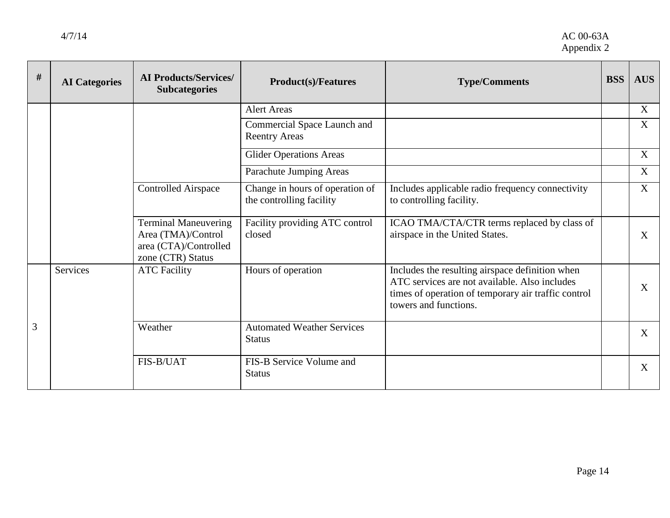| $\#$ | <b>AI</b> Categories | <b>AI Products/Services/</b><br><b>Subcategories</b>                                            | <b>Product(s)/Features</b>                                  | <b>Type/Comments</b>                                                                                                                                                             | <b>BSS</b> | <b>AUS</b> |
|------|----------------------|-------------------------------------------------------------------------------------------------|-------------------------------------------------------------|----------------------------------------------------------------------------------------------------------------------------------------------------------------------------------|------------|------------|
|      |                      |                                                                                                 | <b>Alert Areas</b>                                          |                                                                                                                                                                                  |            | X          |
|      |                      |                                                                                                 | Commercial Space Launch and<br><b>Reentry Areas</b>         |                                                                                                                                                                                  |            | X          |
|      |                      |                                                                                                 | <b>Glider Operations Areas</b>                              |                                                                                                                                                                                  |            | X          |
|      |                      |                                                                                                 | Parachute Jumping Areas                                     |                                                                                                                                                                                  |            | X          |
|      |                      | <b>Controlled Airspace</b>                                                                      | Change in hours of operation of<br>the controlling facility | Includes applicable radio frequency connectivity<br>to controlling facility.                                                                                                     |            | X          |
|      |                      | <b>Terminal Maneuvering</b><br>Area (TMA)/Control<br>area (CTA)/Controlled<br>zone (CTR) Status | Facility providing ATC control<br>closed                    | ICAO TMA/CTA/CTR terms replaced by class of<br>airspace in the United States.                                                                                                    |            | X          |
|      | <b>Services</b>      | <b>ATC Facility</b>                                                                             | Hours of operation                                          | Includes the resulting airspace definition when<br>ATC services are not available. Also includes<br>times of operation of temporary air traffic control<br>towers and functions. |            | X          |
| 3    |                      | Weather                                                                                         | <b>Automated Weather Services</b><br><b>Status</b>          |                                                                                                                                                                                  |            | X          |
|      |                      | FIS-B/UAT                                                                                       | FIS-B Service Volume and<br><b>Status</b>                   |                                                                                                                                                                                  |            | X          |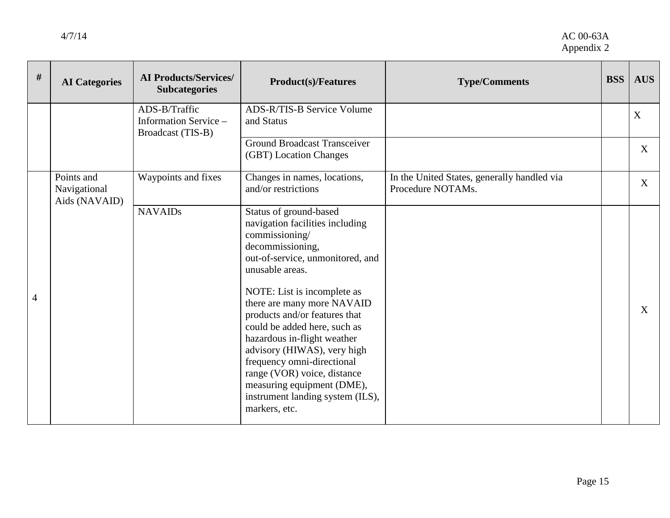| #              | <b>AI</b> Categories                        | <b>AI Products/Services/</b><br><b>Subcategories</b>        | <b>Product(s)/Features</b>                                                                                                                                                                                                                                                                                                                                                                                                                                                                         | <b>Type/Comments</b>                                             | <b>BSS</b> | <b>AUS</b> |
|----------------|---------------------------------------------|-------------------------------------------------------------|----------------------------------------------------------------------------------------------------------------------------------------------------------------------------------------------------------------------------------------------------------------------------------------------------------------------------------------------------------------------------------------------------------------------------------------------------------------------------------------------------|------------------------------------------------------------------|------------|------------|
|                |                                             | ADS-B/Traffic<br>Information Service –<br>Broadcast (TIS-B) | <b>ADS-R/TIS-B Service Volume</b><br>and Status                                                                                                                                                                                                                                                                                                                                                                                                                                                    |                                                                  |            | X          |
|                |                                             |                                                             | <b>Ground Broadcast Transceiver</b><br>(GBT) Location Changes                                                                                                                                                                                                                                                                                                                                                                                                                                      |                                                                  |            | X          |
|                | Points and<br>Navigational<br>Aids (NAVAID) | Waypoints and fixes                                         | Changes in names, locations,<br>and/or restrictions                                                                                                                                                                                                                                                                                                                                                                                                                                                | In the United States, generally handled via<br>Procedure NOTAMs. |            | X          |
| $\overline{4}$ |                                             | <b>NAVAIDs</b>                                              | Status of ground-based<br>navigation facilities including<br>commissioning/<br>decommissioning,<br>out-of-service, unmonitored, and<br>unusable areas.<br>NOTE: List is incomplete as<br>there are many more NAVAID<br>products and/or features that<br>could be added here, such as<br>hazardous in-flight weather<br>advisory (HIWAS), very high<br>frequency omni-directional<br>range (VOR) voice, distance<br>measuring equipment (DME),<br>instrument landing system (ILS),<br>markers, etc. |                                                                  |            | X          |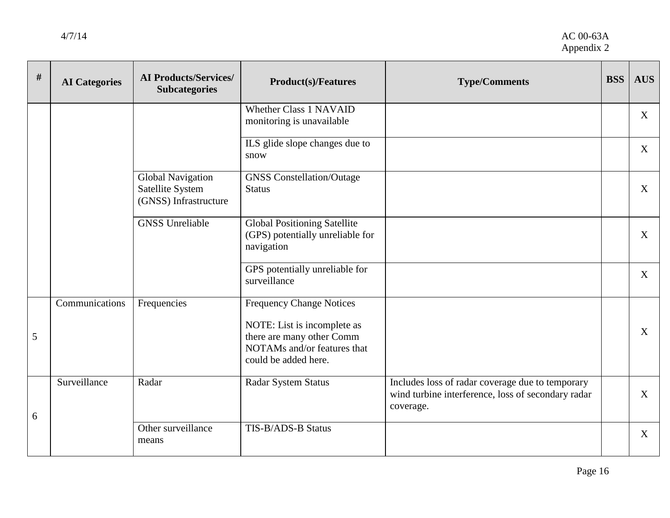| # | <b>AI</b> Categories | <b>AI Products/Services/</b><br><b>Subcategories</b>                  | <b>Product(s)/Features</b>                                                                                                                         | <b>Type/Comments</b>                                                                                                | <b>BSS</b> | <b>AUS</b>   |
|---|----------------------|-----------------------------------------------------------------------|----------------------------------------------------------------------------------------------------------------------------------------------------|---------------------------------------------------------------------------------------------------------------------|------------|--------------|
|   |                      |                                                                       | <b>Whether Class 1 NAVAID</b><br>monitoring is unavailable                                                                                         |                                                                                                                     |            | X            |
|   |                      |                                                                       | ILS glide slope changes due to<br>snow                                                                                                             |                                                                                                                     |            | X            |
|   |                      | <b>Global Navigation</b><br>Satellite System<br>(GNSS) Infrastructure | <b>GNSS Constellation/Outage</b><br><b>Status</b>                                                                                                  |                                                                                                                     |            | X            |
|   |                      | <b>GNSS Unreliable</b>                                                | <b>Global Positioning Satellite</b><br>(GPS) potentially unreliable for<br>navigation                                                              |                                                                                                                     |            | X            |
|   |                      |                                                                       | GPS potentially unreliable for<br>surveillance                                                                                                     |                                                                                                                     |            | X            |
| 5 | Communications       | Frequencies                                                           | <b>Frequency Change Notices</b><br>NOTE: List is incomplete as<br>there are many other Comm<br>NOTAMs and/or features that<br>could be added here. |                                                                                                                     |            | $\mathbf{X}$ |
| 6 | Surveillance         | Radar                                                                 | Radar System Status                                                                                                                                | Includes loss of radar coverage due to temporary<br>wind turbine interference, loss of secondary radar<br>coverage. |            | X            |
|   |                      | Other surveillance<br>means                                           | TIS-B/ADS-B Status                                                                                                                                 |                                                                                                                     |            | X            |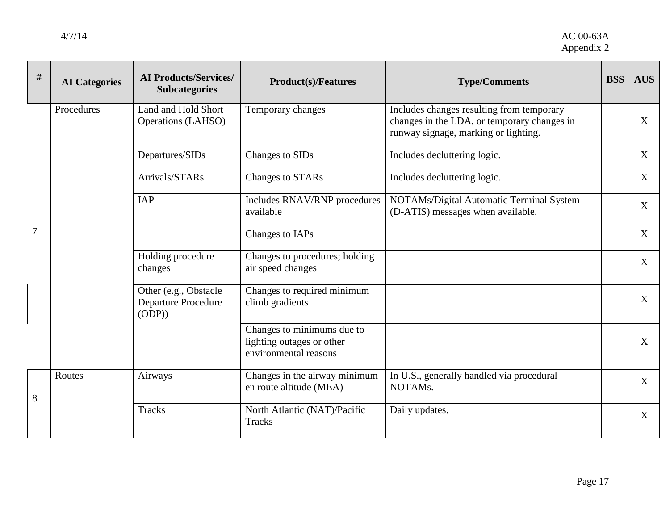| $\#$ | <b>AI</b> Categories | <b>AI Products/Services/</b><br><b>Subcategories</b>          | <b>Product(s)/Features</b>                                                       | <b>Type/Comments</b>                                                                                                             | <b>BSS</b> | <b>AUS</b>   |
|------|----------------------|---------------------------------------------------------------|----------------------------------------------------------------------------------|----------------------------------------------------------------------------------------------------------------------------------|------------|--------------|
|      | Procedures           | Land and Hold Short<br>Operations (LAHSO)                     | Temporary changes                                                                | Includes changes resulting from temporary<br>changes in the LDA, or temporary changes in<br>runway signage, marking or lighting. |            | X            |
|      |                      | Departures/SIDs                                               | Changes to SIDs                                                                  | Includes decluttering logic.                                                                                                     |            | X            |
| 7    |                      | Arrivals/STARs                                                | <b>Changes to STARs</b>                                                          | Includes decluttering logic.                                                                                                     |            | $\mathbf{X}$ |
|      |                      | <b>IAP</b>                                                    | Includes RNAV/RNP procedures<br>available                                        | NOTAMs/Digital Automatic Terminal System<br>(D-ATIS) messages when available.                                                    |            | X            |
|      |                      |                                                               | Changes to IAPs                                                                  |                                                                                                                                  |            | X            |
|      |                      | Holding procedure<br>changes                                  | Changes to procedures; holding<br>air speed changes                              |                                                                                                                                  |            | X            |
|      |                      | Other (e.g., Obstacle<br><b>Departure Procedure</b><br>(ODP)) | Changes to required minimum<br>climb gradients                                   |                                                                                                                                  |            | $\mathbf{X}$ |
|      |                      |                                                               | Changes to minimums due to<br>lighting outages or other<br>environmental reasons |                                                                                                                                  |            | X            |
| 8    | Routes               | Airways                                                       | Changes in the airway minimum<br>en route altitude (MEA)                         | In U.S., generally handled via procedural<br>NOTAMs.                                                                             |            | X            |
|      |                      | <b>Tracks</b>                                                 | North Atlantic (NAT)/Pacific<br><b>Tracks</b>                                    | Daily updates.                                                                                                                   |            | X            |
|      |                      |                                                               |                                                                                  |                                                                                                                                  |            |              |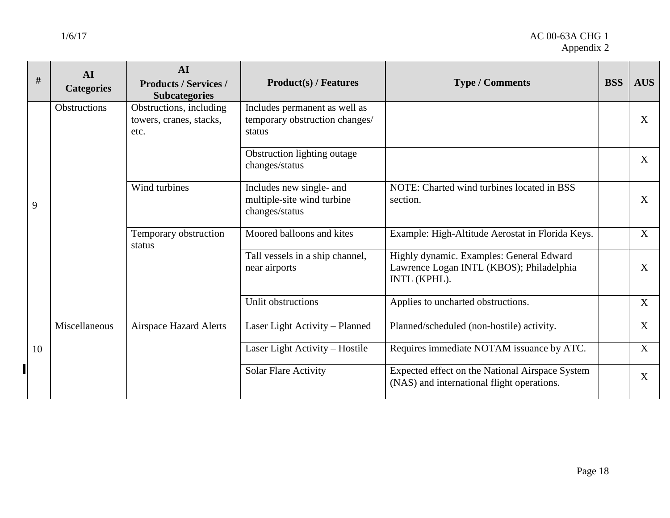#### 1/6/17 AC 00-63A CHG 1 Appendix 2

|   | $\#$ | AI<br><b>Categories</b> | AI<br><b>Products / Services /</b><br><b>Subcategories</b> | <b>Product(s) / Features</b>                                              | <b>Type / Comments</b>                                                                               | <b>BSS</b> | <b>AUS</b> |
|---|------|-------------------------|------------------------------------------------------------|---------------------------------------------------------------------------|------------------------------------------------------------------------------------------------------|------------|------------|
|   |      | Obstructions            | Obstructions, including<br>towers, cranes, stacks,<br>etc. | Includes permanent as well as<br>temporary obstruction changes/<br>status |                                                                                                      |            | X          |
|   |      |                         |                                                            | Obstruction lighting outage<br>changes/status                             |                                                                                                      |            | X          |
| 9 |      |                         | Wind turbines                                              | Includes new single- and<br>multiple-site wind turbine<br>changes/status  | NOTE: Charted wind turbines located in BSS<br>section.                                               |            | X          |
|   |      |                         | Temporary obstruction<br>status                            | Moored balloons and kites                                                 | Example: High-Altitude Aerostat in Florida Keys.                                                     |            | X          |
|   |      |                         |                                                            | Tall vessels in a ship channel,<br>near airports                          | Highly dynamic. Examples: General Edward<br>Lawrence Logan INTL (KBOS); Philadelphia<br>INTL (KPHL). |            | X          |
|   |      |                         |                                                            | Unlit obstructions                                                        | Applies to uncharted obstructions.                                                                   |            | X          |
|   |      | Miscellaneous           | <b>Airspace Hazard Alerts</b>                              | Laser Light Activity - Planned                                            | Planned/scheduled (non-hostile) activity.                                                            |            | X          |
|   | 10   |                         |                                                            | Laser Light Activity - Hostile                                            | Requires immediate NOTAM issuance by ATC.                                                            |            | X          |
|   |      |                         |                                                            | <b>Solar Flare Activity</b>                                               | Expected effect on the National Airspace System<br>(NAS) and international flight operations.        |            | X          |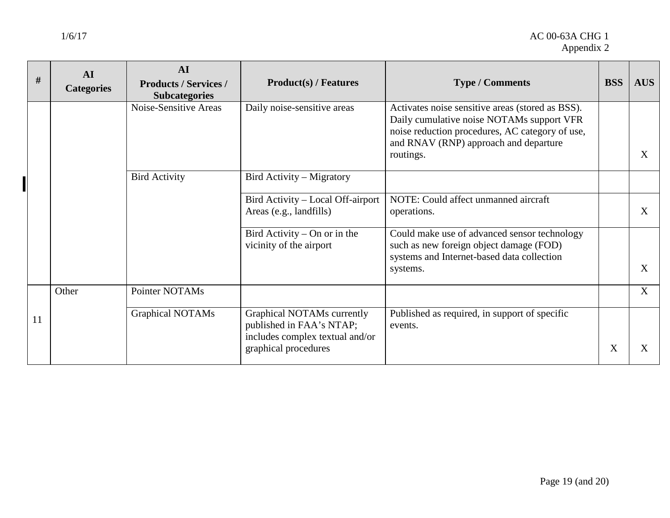┑

| #  | AI<br><b>Categories</b> | AI<br><b>Products / Services /</b><br><b>Subcategories</b> | <b>Product(s) / Features</b>                                                              | <b>Type / Comments</b>                                                                                                                                                                                 | <b>BSS</b> | <b>AUS</b> |
|----|-------------------------|------------------------------------------------------------|-------------------------------------------------------------------------------------------|--------------------------------------------------------------------------------------------------------------------------------------------------------------------------------------------------------|------------|------------|
|    |                         | Noise-Sensitive Areas                                      | Daily noise-sensitive areas                                                               | Activates noise sensitive areas (stored as BSS).<br>Daily cumulative noise NOTAMs support VFR<br>noise reduction procedures, AC category of use,<br>and RNAV (RNP) approach and departure<br>routings. |            | X          |
|    |                         | <b>Bird Activity</b>                                       | Bird Activity – Migratory                                                                 |                                                                                                                                                                                                        |            |            |
|    |                         |                                                            | Bird Activity – Local Off-airport<br>Areas (e.g., landfills)                              | NOTE: Could affect unmanned aircraft<br>operations.                                                                                                                                                    |            | X          |
|    |                         |                                                            | Bird Activity – On or in the<br>vicinity of the airport                                   | Could make use of advanced sensor technology<br>such as new foreign object damage (FOD)<br>systems and Internet-based data collection<br>systems.                                                      |            | X          |
| 11 | Other                   | Pointer NOTAMs                                             |                                                                                           |                                                                                                                                                                                                        |            | X          |
|    |                         | <b>Graphical NOTAMs</b>                                    | Graphical NOTAMs currently<br>published in FAA's NTAP;<br>includes complex textual and/or | Published as required, in support of specific<br>events.                                                                                                                                               |            |            |
|    |                         |                                                            | graphical procedures                                                                      |                                                                                                                                                                                                        | X          | X          |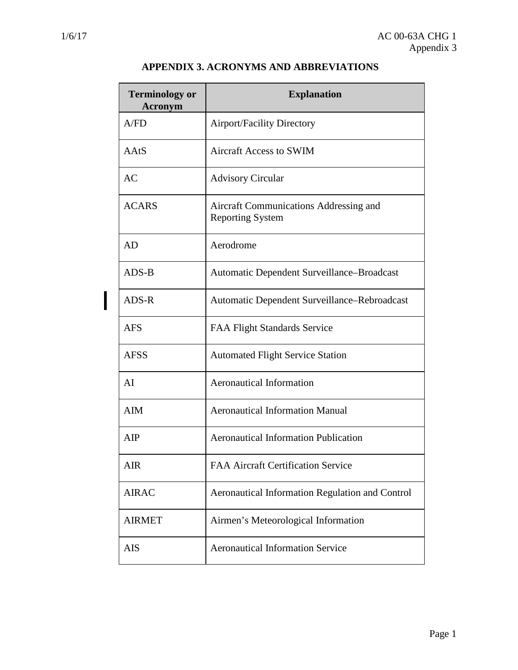$\overline{\phantom{a}}$ 

| <b>Terminology or</b><br><b>Acronym</b> | <b>Explanation</b>                                                |
|-----------------------------------------|-------------------------------------------------------------------|
| A/FD                                    | <b>Airport/Facility Directory</b>                                 |
| AAtS                                    | <b>Aircraft Access to SWIM</b>                                    |
| AC                                      | <b>Advisory Circular</b>                                          |
| <b>ACARS</b>                            | Aircraft Communications Addressing and<br><b>Reporting System</b> |
| <b>AD</b>                               | Aerodrome                                                         |
| ADS-B                                   | Automatic Dependent Surveillance-Broadcast                        |
| ADS-R                                   | Automatic Dependent Surveillance–Rebroadcast                      |
| <b>AFS</b>                              | <b>FAA Flight Standards Service</b>                               |
| <b>AFSS</b>                             | <b>Automated Flight Service Station</b>                           |
| AI                                      | <b>Aeronautical Information</b>                                   |
| <b>AIM</b>                              | <b>Aeronautical Information Manual</b>                            |
| AIP                                     | <b>Aeronautical Information Publication</b>                       |
| <b>AIR</b>                              | <b>FAA Aircraft Certification Service</b>                         |
| <b>AIRAC</b>                            | Aeronautical Information Regulation and Control                   |
| <b>AIRMET</b>                           | Airmen's Meteorological Information                               |
| AIS                                     | <b>Aeronautical Information Service</b>                           |

#### **APPENDIX 3. ACRONYMS AND ABBREVIATIONS**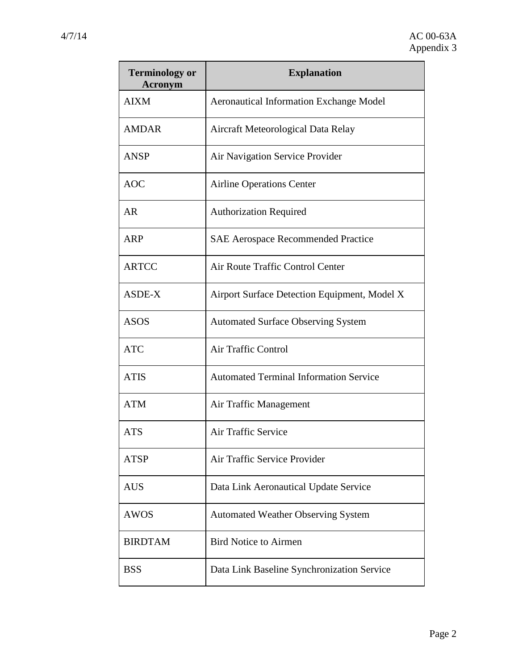| <b>Terminology or</b><br>Acronym | <b>Explanation</b>                             |
|----------------------------------|------------------------------------------------|
| <b>AIXM</b>                      | <b>Aeronautical Information Exchange Model</b> |
| <b>AMDAR</b>                     | Aircraft Meteorological Data Relay             |
| <b>ANSP</b>                      | Air Navigation Service Provider                |
| <b>AOC</b>                       | <b>Airline Operations Center</b>               |
| <b>AR</b>                        | <b>Authorization Required</b>                  |
| <b>ARP</b>                       | <b>SAE Aerospace Recommended Practice</b>      |
| <b>ARTCC</b>                     | Air Route Traffic Control Center               |
| ASDE-X                           | Airport Surface Detection Equipment, Model X   |
| <b>ASOS</b>                      | <b>Automated Surface Observing System</b>      |
| <b>ATC</b>                       | <b>Air Traffic Control</b>                     |
| <b>ATIS</b>                      | <b>Automated Terminal Information Service</b>  |
| <b>ATM</b>                       | Air Traffic Management                         |
| <b>ATS</b>                       | Air Traffic Service                            |
| <b>ATSP</b>                      | Air Traffic Service Provider                   |
| <b>AUS</b>                       | Data Link Aeronautical Update Service          |
| <b>AWOS</b>                      | <b>Automated Weather Observing System</b>      |
| <b>BIRDTAM</b>                   | <b>Bird Notice to Airmen</b>                   |
| <b>BSS</b>                       | Data Link Baseline Synchronization Service     |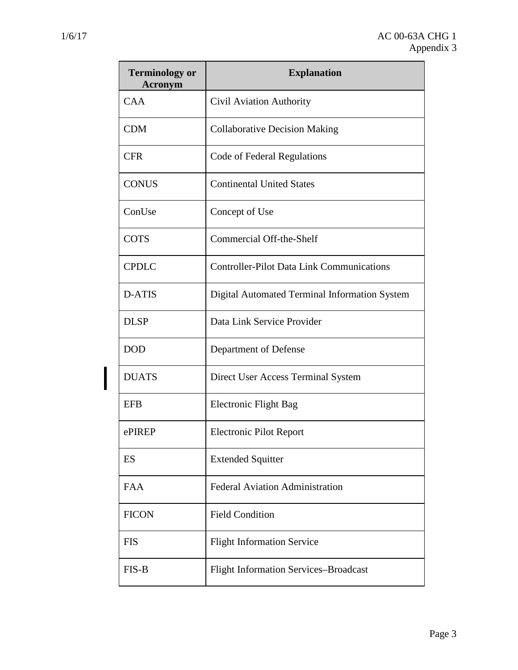$\mathsf I$ 

| <b>Terminology or</b><br><b>Acronym</b> | <b>Explanation</b>                               |
|-----------------------------------------|--------------------------------------------------|
| <b>CAA</b>                              | Civil Aviation Authority                         |
| <b>CDM</b>                              | <b>Collaborative Decision Making</b>             |
| <b>CFR</b>                              | Code of Federal Regulations                      |
| <b>CONUS</b>                            | <b>Continental United States</b>                 |
| ConUse                                  | Concept of Use                                   |
| <b>COTS</b>                             | Commercial Off-the-Shelf                         |
| <b>CPDLC</b>                            | <b>Controller-Pilot Data Link Communications</b> |
| D-ATIS                                  | Digital Automated Terminal Information System    |
| <b>DLSP</b>                             | Data Link Service Provider                       |
| <b>DOD</b>                              | Department of Defense                            |
| <b>DUATS</b>                            | Direct User Access Terminal System               |
| <b>EFB</b>                              | Electronic Flight Bag                            |
| ePIREP                                  | <b>Electronic Pilot Report</b>                   |
| ES                                      | <b>Extended Squitter</b>                         |
| <b>FAA</b>                              | <b>Federal Aviation Administration</b>           |
| <b>FICON</b>                            | <b>Field Condition</b>                           |
| <b>FIS</b>                              | <b>Flight Information Service</b>                |
| FIS-B                                   | <b>Flight Information Services-Broadcast</b>     |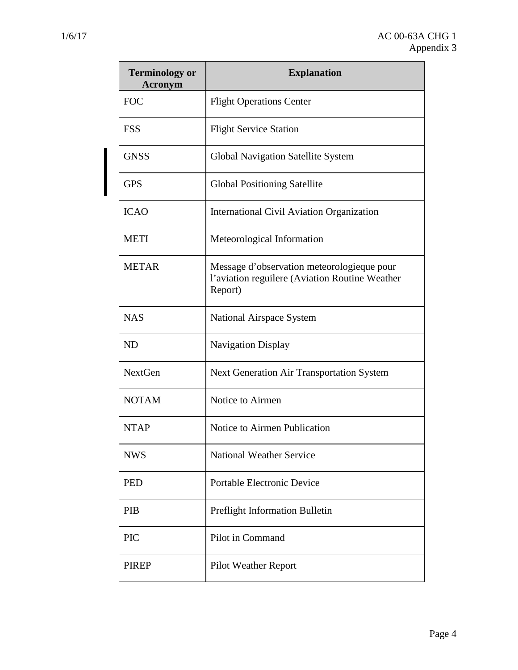| <b>Terminology or</b><br><b>Acronym</b> | <b>Explanation</b>                                                                                       |
|-----------------------------------------|----------------------------------------------------------------------------------------------------------|
| <b>FOC</b>                              | <b>Flight Operations Center</b>                                                                          |
| <b>FSS</b>                              | <b>Flight Service Station</b>                                                                            |
| <b>GNSS</b>                             | <b>Global Navigation Satellite System</b>                                                                |
| <b>GPS</b>                              | <b>Global Positioning Satellite</b>                                                                      |
| <b>ICAO</b>                             | International Civil Aviation Organization                                                                |
| <b>METI</b>                             | Meteorological Information                                                                               |
| <b>METAR</b>                            | Message d'observation meteorologie que pour<br>l'aviation reguilere (Aviation Routine Weather<br>Report) |
| <b>NAS</b>                              | National Airspace System                                                                                 |
| <b>ND</b>                               | <b>Navigation Display</b>                                                                                |
| NextGen                                 | <b>Next Generation Air Transportation System</b>                                                         |
| <b>NOTAM</b>                            | Notice to Airmen                                                                                         |
| <b>NTAP</b>                             | Notice to Airmen Publication                                                                             |
| <b>NWS</b>                              | <b>National Weather Service</b>                                                                          |
| <b>PED</b>                              | <b>Portable Electronic Device</b>                                                                        |
| PIB                                     | Preflight Information Bulletin                                                                           |
| <b>PIC</b>                              | Pilot in Command                                                                                         |
| <b>PIREP</b>                            | <b>Pilot Weather Report</b>                                                                              |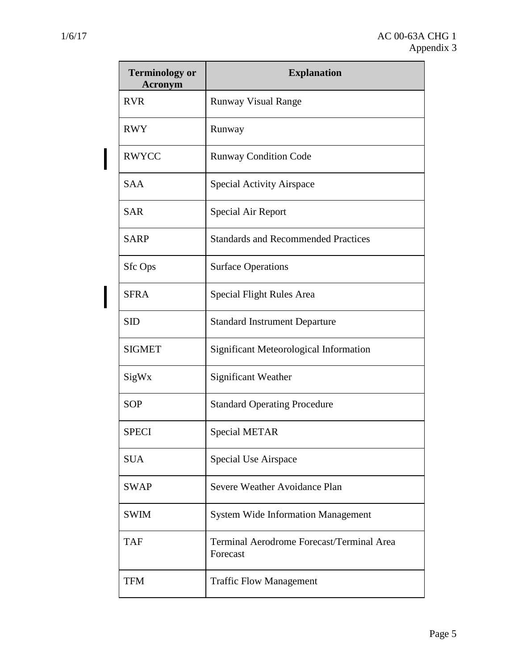I

I

| <b>Terminology or</b><br><b>Acronym</b> | <b>Explanation</b>                                    |
|-----------------------------------------|-------------------------------------------------------|
| <b>RVR</b>                              | <b>Runway Visual Range</b>                            |
| <b>RWY</b>                              | Runway                                                |
| <b>RWYCC</b>                            | <b>Runway Condition Code</b>                          |
| <b>SAA</b>                              | <b>Special Activity Airspace</b>                      |
| <b>SAR</b>                              | <b>Special Air Report</b>                             |
| <b>SARP</b>                             | <b>Standards and Recommended Practices</b>            |
| <b>Sfc Ops</b>                          | <b>Surface Operations</b>                             |
| <b>SFRA</b>                             | Special Flight Rules Area                             |
| <b>SID</b>                              | <b>Standard Instrument Departure</b>                  |
| <b>SIGMET</b>                           | Significant Meteorological Information                |
| SigWx                                   | Significant Weather                                   |
| <b>SOP</b>                              | <b>Standard Operating Procedure</b>                   |
| <b>SPECI</b>                            | Special METAR                                         |
| <b>SUA</b>                              | Special Use Airspace                                  |
| <b>SWAP</b>                             | Severe Weather Avoidance Plan                         |
| <b>SWIM</b>                             | <b>System Wide Information Management</b>             |
| <b>TAF</b>                              | Terminal Aerodrome Forecast/Terminal Area<br>Forecast |
| <b>TFM</b>                              | <b>Traffic Flow Management</b>                        |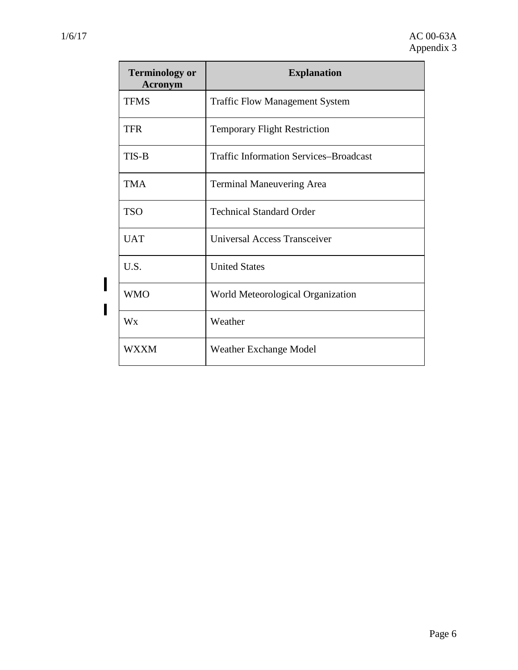$\overline{\mathsf{I}}$ 

 $\mathbf{I}$ 

| <b>Terminology or</b><br><b>Acronym</b> | <b>Explanation</b>                            |
|-----------------------------------------|-----------------------------------------------|
| <b>TFMS</b>                             | <b>Traffic Flow Management System</b>         |
| TFR                                     | <b>Temporary Flight Restriction</b>           |
| TIS-B                                   | <b>Traffic Information Services-Broadcast</b> |
| <b>TMA</b>                              | <b>Terminal Maneuvering Area</b>              |
| <b>TSO</b>                              | <b>Technical Standard Order</b>               |
| <b>UAT</b>                              | Universal Access Transceiver                  |
| U.S.                                    | <b>United States</b>                          |
| <b>WMO</b>                              | World Meteorological Organization             |
| Wx                                      | Weather                                       |
| <b>WXXM</b>                             | <b>Weather Exchange Model</b>                 |